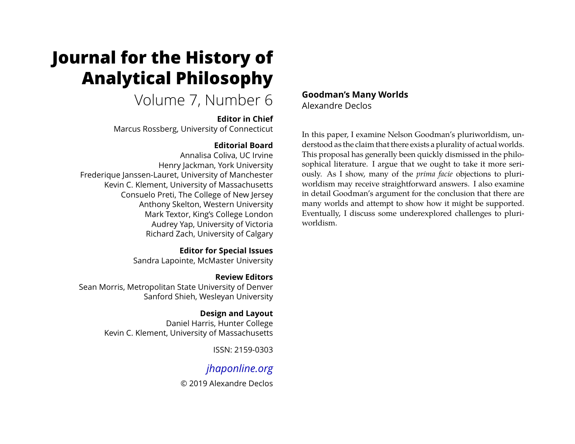# **Journal for the History of Analytical Philosophy**

# Volume 7, Number 6

# **Editor in Chief**

Marcus Rossberg, University of Connecticut

# **Editorial Board**

Annalisa Coliva, UC Irvine Henry Jackman, York University Frederique Janssen-Lauret, University of Manchester Kevin C. Klement, University of Massachusetts Consuelo Preti, The College of New Jersey Anthony Skelton, Western University Mark Textor, King's College London Audrey Yap, University of Victoria Richard Zach, University of Calgary

> **Editor for Special Issues** Sandra Lapointe, McMaster University

**Review Editors** Sean Morris, Metropolitan State University of Denver Sanford Shieh, Wesleyan University

> **Design and Layout** Daniel Harris, Hunter College Kevin C. Klement, University of Massachusetts

> > ISSN: 2159-0303

# *[jhaponline.org](https://jhaponline.org)*

© 2019 Alexandre Declos

**Goodman's Many Worlds** Alexandre Declos

In this paper, I examine Nelson Goodman's pluriworldism, understood as the claim that there exists a plurality of actual worlds. This proposal has generally been quickly dismissed in the philosophical literature. I argue that we ought to take it more seriously. As I show, many of the *prima facie* objections to pluriworldism may receive straightforward answers. I also examine in detail Goodman's argument for the conclusion that there are many worlds and attempt to show how it might be supported. Eventually, I discuss some underexplored challenges to pluriworldism.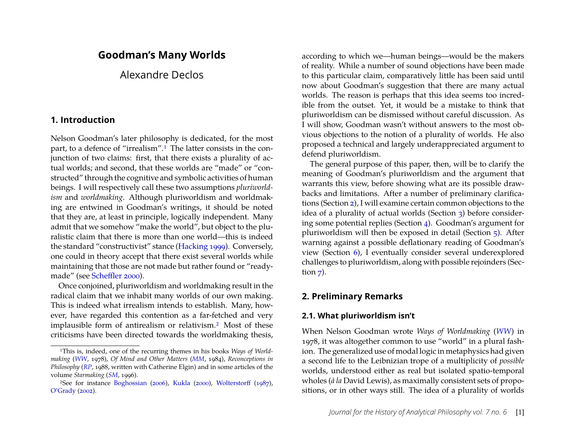# **Goodman's Many Worlds**

Alexandre Declos

# **1. Introduction**

Nelson Goodman's later philosophy is dedicated, for the most part, to a defence of "irrealism".<sup>1</sup> The latter consists in the conjunction of two claims: first, that there exists a plurality of actual worlds; and second, that these worlds are "made" or "constructed" through the cognitive and symbolic activities of human beings. I will respectively call these two assumptions *pluriworldism* and *worldmaking*. Although pluriworldism and worldmaking are entwined in Goodman's writings, it should be noted that they are, at least in principle, logically independent. Many admit that we somehow "make the world", but object to the pluralistic claim that there is more than one world—this is indeed the standard "constructivist" stance [\(Hacking](#page-25-0) [1999\)](#page-25-0). Conversely, one could in theory accept that there exist several worlds while maintaining that those are not made but rather found or "readymade" (see [Scheffler 2000\)](#page-25-1).

Once conjoined, pluriworldism and worldmaking result in the radical claim that we inhabit many worlds of our own making. This is indeed what irrealism intends to establish. Many, however, have regarded this contention as a far-fetched and very implausible form of antirealism or relativism[.2](#page-1-1) Most of these criticisms have been directed towards the worldmaking thesis, according to which we—human beings—would be the makers of reality. While a number of sound objections have been made to this particular claim, comparatively little has been said until now about Goodman's suggestion that there are many actual worlds. The reason is perhaps that this idea seems too incredible from the outset. Yet, it would be a mistake to think that pluriworldism can be dismissed without careful discussion. As I will show, Goodman wasn't without answers to the most obvious objections to the notion of a plurality of worlds. He also proposed a technical and largely underappreciated argument to defend pluriworldism.

The general purpose of this paper, then, will be to clarify the meaning of Goodman's pluriworldism and the argument that warrants this view, before showing what are its possible drawbacks and limitations. After a number of preliminary clarifications (Section [2\)](#page-1-2), I will examine certain common objections to the idea of a plurality of actual worlds (Section [3\)](#page-3-0) before considering some potential replies (Section [4\)](#page-5-0). Goodman's argument for pluriworldism will then be exposed in detail (Section [5\)](#page-9-0). After warning against a possible deflationary reading of Goodman's view (Section [6\)](#page-17-0), I eventually consider several underexplored challenges to pluriworldism, along with possible rejoinders (Section  $7$ ).

# <span id="page-1-2"></span>**2. Preliminary Remarks**

## **2.1. What pluriworldism isn't**

When Nelson Goodman wrote *Ways of Worldmaking* (*[WW](#page-25-2)*) in 1978, it was altogether common to use "world" in a plural fashion. The generalized use of modal logic in metaphysics had given a second life to the Leibnizian trope of a multiplicity of *possible* worlds, understood either as real but isolated spatio-temporal wholes (*à la* David Lewis), as maximally consistent sets of propositions, or in other ways still. The idea of a plurality of worlds

<span id="page-1-0"></span><sup>1</sup>This is, indeed, one of the recurring themes in his books *Ways of Worldmaking* (*[WW](#page-25-2)*, 1978), *Of Mind and Other Matters* (*[MM](#page-25-3)*, 1984), *Reconceptions in Philosophy* (*[RP](#page-25-4)*, 1988, written with Catherine Elgin) and in some articles of the volume *Starmaking* (*[SM](#page-25-5)*, 1996).

<span id="page-1-1"></span><sup>2</sup>See for instance [Boghossian](#page-24-0) [\(2006\)](#page-24-0), [Kukla](#page-25-6) [\(2000\)](#page-25-6), [Wolterstorff](#page-25-7) [\(1987\)](#page-25-7), [O'Grady](#page-25-8) [\(2002\)](#page-25-8).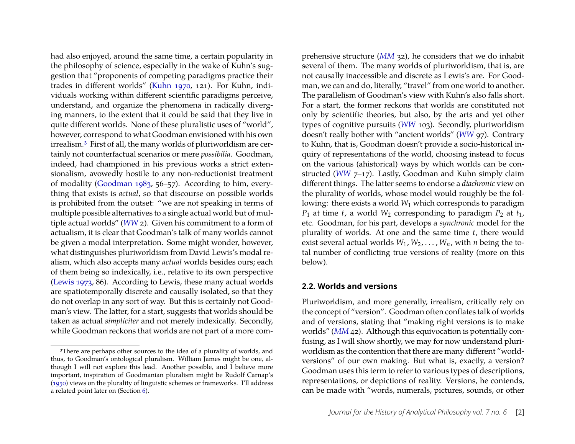had also enjoyed, around the same time, a certain popularity in the philosophy of science, especially in the wake of Kuhn's suggestion that "proponents of competing paradigms practice their trades in different worlds" [\(Kuhn 1970,](#page-25-9) 121). For Kuhn, individuals working within different scientific paradigms perceive, understand, and organize the phenomena in radically diverging manners, to the extent that it could be said that they live in quite different worlds. None of these pluralistic uses of "world", however, correspond to what Goodman envisioned with his own irrealism.[3](#page-2-0) First of all, the many worlds of pluriworldism are certainly not counterfactual scenarios or mere *possibilia*. Goodman, indeed, had championed in his previous works a strict extensionalism, avowedly hostile to any non-reductionist treatment of modality [\(Goodman 1983,](#page-25-10) 56–57). According to him, everything that exists is *actual*, so that discourse on possible worlds is prohibited from the outset: "we are not speaking in terms of multiple possible alternatives to a single actual world but of multiple actual worlds" (*[WW](#page-25-2)* 2). Given his commitment to a form of actualism, it is clear that Goodman's talk of many worlds cannot be given a modal interpretation. Some might wonder, however, what distinguishes pluriworldism from David Lewis's modal realism, which also accepts many *actual* worlds besides ours; each of them being so indexically, i.e., relative to its own perspective [\(Lewis 1973,](#page-25-11) 86). According to Lewis, these many actual worlds are spatiotemporally discrete and causally isolated, so that they do not overlap in any sort of way. But this is certainly not Goodman's view. The latter, for a start, suggests that worlds should be taken as actual *simpliciter* and not merely indexically. Secondly, while Goodman reckons that worlds are not part of a more com-

prehensive structure (*[MM](#page-25-3)* 32), he considers that we do inhabit several of them. The many worlds of pluriworldism, that is, are not causally inaccessible and discrete as Lewis's are. For Goodman, we can and do, literally, "travel" from one world to another. The parallelism of Goodman's view with Kuhn's also falls short. For a start, the former reckons that worlds are constituted not only by scientific theories, but also, by the arts and yet other types of cognitive pursuits (*[WW](#page-25-2)* 103). Secondly, pluriworldism doesn't really bother with "ancient worlds" (*[WW](#page-25-2)* 97). Contrary to Kuhn, that is, Goodman doesn't provide a socio-historical inquiry of representations of the world, choosing instead to focus on the various (ahistorical) ways by which worlds can be constructed (*[WW](#page-25-2)* 7-17). Lastly, Goodman and Kuhn simply claim different things. The latter seems to endorse a *diachronic* view on the plurality of worlds, whose model would roughly be the following: there exists a world  $W_1$  which corresponds to paradigm  $P_1$  at time *t*, a world  $W_2$  corresponding to paradigm  $P_2$  at  $t_1$ , etc. Goodman, for his part, develops a *synchronic* model for the plurality of worlds. At one and the same time *t*, there would exist several actual worlds  $W_1, W_2, \ldots, W_n$ , with *n* being the total number of conflicting true versions of reality (more on this below).

#### **2.2. Worlds and versions**

Pluriworldism, and more generally, irrealism, critically rely on the concept of "version". Goodman often conflates talk of worlds and of versions, stating that "making right versions is to make worlds" (*[MM](#page-25-3)* 42). Although this equivocation is potentially confusing, as I will show shortly, we may for now understand pluriworldism as the contention that there are many different "worldversions" of our own making. But what is, exactly, a version? Goodman uses this term to refer to various types of descriptions, representations, or depictions of reality. Versions, he contends, can be made with "words, numerals, pictures, sounds, or other

<span id="page-2-0"></span><sup>&</sup>lt;sup>3</sup>There are perhaps other sources to the idea of a plurality of worlds, and thus, to Goodman's ontological pluralism. William James might be one, although I will not explore this lead. Another possible, and I believe more important, inspiration of Goodmanian pluralism might be Rudolf Carnap's [\(1950\)](#page-24-1) views on the plurality of linguistic schemes or frameworks. I'll address a related point later on (Section [6\)](#page-17-0).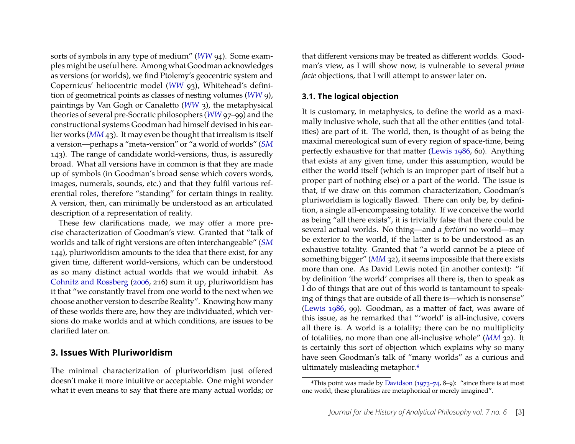sorts of symbols in any type of medium" (*[WW](#page-25-2)* 94). Some examples might be useful here. Among what Goodman acknowledges as versions (or worlds), we find Ptolemy's geocentric system and Copernicus' heliocentric model (*[WW](#page-25-2)* 93), Whitehead's definition of geometrical points as classes of nesting volumes (*[WW](#page-25-2)* 9), paintings by Van Gogh or Canaletto (*[WW](#page-25-2)* 3), the metaphysical theories of several pre-Socratic philosophers (*[WW](#page-25-2)* 97–99) and the constructional systems Goodman had himself devised in his earlier works (*[MM](#page-25-3)* 43). It may even be thought that irrealism is itself a version—perhaps a "meta-version" or "a world of worlds" (*[SM](#page-25-5)* 143). The range of candidate world-versions, thus, is assuredly broad. What all versions have in common is that they are made up of symbols (in Goodman's broad sense which covers words, images, numerals, sounds, etc.) and that they fulfil various referential roles, therefore "standing" for certain things in reality. A version, then, can minimally be understood as an articulated description of a representation of reality.

These few clarifications made, we may offer a more precise characterization of Goodman's view. Granted that "talk of worlds and talk of right versions are often interchangeable" (*[SM](#page-25-5)* 144), pluriworldism amounts to the idea that there exist, for any given time, different world-versions, which can be understood as so many distinct actual worlds that we would inhabit. As [Cohnitz and Rossberg](#page-24-2) [\(2006,](#page-24-2) 216) sum it up, pluriworldism has it that "we constantly travel from one world to the next when we choose another version to describe Reality". Knowing how many of these worlds there are, how they are individuated, which versions do make worlds and at which conditions, are issues to be clarified later on.

### <span id="page-3-0"></span>**3. Issues With Pluriworldism**

The minimal characterization of pluriworldism just offered doesn't make it more intuitive or acceptable. One might wonder what it even means to say that there are many actual worlds; or

that different versions may be treated as different worlds. Goodman's view, as I will show now, is vulnerable to several *prima facie* objections, that I will attempt to answer later on.

#### **3.1. The logical objection**

It is customary, in metaphysics, to define the world as a maximally inclusive whole, such that all the other entities (and totalities) are part of it. The world, then, is thought of as being the maximal mereological sum of every region of space-time, being perfectly exhaustive for that matter [\(Lewis 1986,](#page-25-12) 60). Anything that exists at any given time, under this assumption, would be either the world itself (which is an improper part of itself but a proper part of nothing else) or a part of the world. The issue is that, if we draw on this common characterization, Goodman's pluriworldism is logically flawed. There can only be, by definition, a single all-encompassing totality. If we conceive the world as being "all there exists", it is trivially false that there could be several actual worlds. No thing—and *a fortiori* no world—may be exterior to the world, if the latter is to be understood as an exhaustive totality. Granted that "a world cannot be a piece of something bigger" (*[MM](#page-25-3)* 32), it seems impossible that there exists more than one. As David Lewis noted (in another context): "if by definition 'the world' comprises all there is, then to speak as I do of things that are out of this world is tantamount to speaking of things that are outside of all there is—which is nonsense" [\(Lewis 1986,](#page-25-12) 99). Goodman, as a matter of fact, was aware of this issue, as he remarked that "'world' is all-inclusive, covers all there is. A world is a totality; there can be no multiplicity of totalities, no more than one all-inclusive whole" (*[MM](#page-25-3)* 32). It is certainly this sort of objection which explains why so many have seen Goodman's talk of "many worlds" as a curious and ultimately misleading metaphor.[4](#page-3-1)

<span id="page-3-1"></span><sup>&</sup>lt;sup>4</sup>This point was made by [Davidson](#page-24-3)  $(1973-74, 8-9)$ : "since there is at most one world, these pluralities are metaphorical or merely imagined".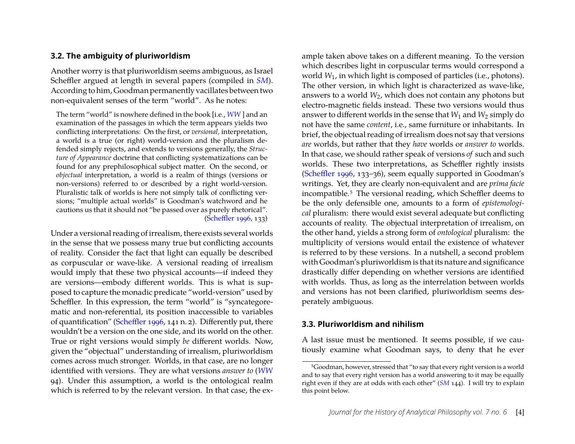#### **3.2. The ambiguity of pluriworldism**

Another worry is that pluriworldism seems ambiguous, as Israel Scheffler argued at length in several papers (compiled in *[SM](#page-25-5)*). According to him, Goodman permanently vacillates between two non-equivalent senses of the term "world". As he notes:

The term "world" is nowhere defined in the book [i.e., *[WW](#page-25-2)* ] and an examination of the passages in which the term appears yields two conflicting interpretations: On the first, or *versional,* interpretation, a world is a true (or right) world-version and the pluralism defended simply rejects, and extends to versions generally, the *Structure of Appearance* doctrine that conflicting systematizations can be found for any prephilosophical subject matter. On the second, or *objectual* interpretation, a world is a realm of things (versions or non-versions) referred to or described by a right world-version. Pluralistic talk of worlds is here not simply talk of conflicting versions; "multiple actual worlds" is Goodman's watchword and he cautions us that it should not "be passed over as purely rhetorical". [\(Scheffler 1996,](#page-25-13) 133)

Under a versional reading of irrealism, there exists several worlds in the sense that we possess many true but conflicting accounts of reality. Consider the fact that light can equally be described as corpuscular or wave-like. A versional reading of irrealism would imply that these two physical accounts—if indeed they are versions—embody different worlds. This is what is supposed to capture the monadic predicate "world-version" used by Scheffler. In this expression, the term "world" is "syncategorematic and non-referential, its position inaccessible to variables of quantification" [\(Scheffler 1996,](#page-25-13) 141 n. 2). Differently put, there wouldn't be a version on the one side, and its world on the other. True or right versions would simply *be* different worlds. Now, given the "objectual" understanding of irrealism, pluriworldism comes across much stronger. Worlds, in that case, are no longer identified with versions. They are what versions *answer to* (*[WW](#page-25-2)* 94). Under this assumption, a world is the ontological realm which is referred to by the relevant version. In that case, the ex-

ample taken above takes on a different meaning. To the version which describes light in corpuscular terms would correspond a world *W*1, in which light is composed of particles (i.e., photons). The other version, in which light is characterized as wave-like, answers to a world *W*2, which does not contain any photons but electro-magnetic fields instead. These two versions would thus answer to different worlds in the sense that  $W_1$  and  $W_2$  simply do not have the same *content*, i.e., same furniture or inhabitants. In brief, the objectual reading of irrealism does not say that versions *are* worlds, but rather that they *have* worlds or *answer to* worlds. In that case, we should rather speak of versions *of* such and such worlds. These two interpretations, as Scheffler rightly insists [\(Scheffler 1996,](#page-25-13) 133–36), seem equally supported in Goodman's writings. Yet, they are clearly non-equivalent and are *prima facie* incompatible.[5](#page-4-0) The versional reading, which Scheffler deems to be the only defensible one, amounts to a form of *epistemological* pluralism: there would exist several adequate but conflicting accounts of reality. The objectual interpretation of irrealism, on the other hand, yields a strong form of *ontological* pluralism: the multiplicity of versions would entail the existence of whatever is referred to by these versions. In a nutshell, a second problem with Goodman's pluriworldism is that its nature and significance drastically differ depending on whether versions are identified with worlds. Thus, as long as the interrelation between worlds and versions has not been clarified, pluriworldism seems desperately ambiguous.

#### **3.3. Pluriworldism and nihilism**

A last issue must be mentioned. It seems possible, if we cautiously examine what Goodman says, to deny that he ever

<span id="page-4-0"></span><sup>5</sup>Goodman, however, stressed that "to say that every right version is a world and to say that every right version has a world answering to it may be equally right even if they are at odds with each other" (*[SM](#page-25-5)* 144). I will try to explain this point below.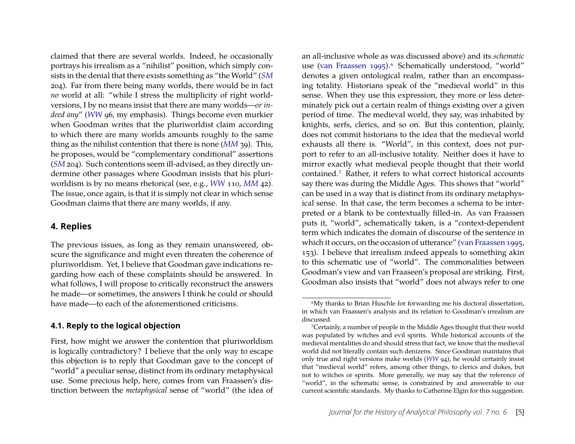claimed that there are several worlds. Indeed, he occasionally portrays his irrealism as a "nihilist" position, which simply consists in the denial that there exists something as "the World" (*[SM](#page-25-5)* 204). Far from there being many worlds, there would be in fact *no* world at all: "while I stress the multiplicity of right worldversions, I by no means insist that there are many worlds—*or indeed any*" (*[WW](#page-25-2)* 96, my emphasis). Things become even murkier when Goodman writes that the pluriworldist claim according to which there are many worlds amounts roughly to the same thing as the nihilist contention that there is none (*[MM](#page-25-3)* 39). This, he proposes, would be "complementary conditional" assertions (*[SM](#page-25-5)* 204). Such contentions seem ill-advised, as they directly undermine other passages where Goodman insists that his pluriworldism is by no means rhetorical (see, e.g., *[WW](#page-25-2)* 110, *[MM](#page-25-3)* 42). The issue, once again, is that it is simply not clear in which sense Goodman claims that there are many worlds, if any.

#### <span id="page-5-0"></span>**4. Replies**

The previous issues, as long as they remain unanswered, obscure the significance and might even threaten the coherence of pluriworldism. Yet, I believe that Goodman gave indications regarding how each of these complaints should be answered. In what follows, I will propose to critically reconstruct the answers he made—or sometimes, the answers I think he could or should have made—to each of the aforementioned criticisms.

#### **4.1. Reply to the logical objection**

First, how might we answer the contention that pluriworldism is logically contradictory? I believe that the only way to escape this objection is to reply that Goodman gave to the concept of "world" a peculiar sense, distinct from its ordinary metaphysical use. Some precious help, here, comes from van Fraassen's distinction between the *metaphysical* sense of "world" (the idea of an all-inclusive whole as was discussed above) and its *schematic* use [\(van Fraassen 1995\)](#page-25-14).<sup>[6](#page-5-1)</sup> Schematically understood, "world" denotes a given ontological realm, rather than an encompassing totality. Historians speak of the "medieval world" in this sense. When they use this expression, they more or less determinately pick out a certain realm of things existing over a given period of time. The medieval world, they say, was inhabited by knights, serfs, clerics, and so on. But this contention, plainly, does not commit historians to the idea that the medieval world exhausts all there is. "World", in this context, does not purport to refer to an all-inclusive totality. Neither does it have to mirror exactly what medieval people thought that their world contained.[7](#page-5-2) Rather, it refers to what correct historical accounts say there was during the Middle Ages. This shows that "world" can be used in a way that is distinct from its ordinary metaphysical sense. In that case, the term becomes a schema to be interpreted or a blank to be contextually filled-in. As van Fraassen puts it, "world", schematically taken, is a "context-dependent term which indicates the domain of discourse of the sentence in which it occurs, on the occasion of utterance" [\(van Fraassen 1995,](#page-25-14) 153). I believe that irrealism indeed appeals to something akin to this schematic use of "world". The commonalities between Goodman's view and van Fraaseen's proposal are striking. First, Goodman also insists that "world" does not always refer to one

<span id="page-5-1"></span><sup>6</sup>My thanks to Brian Huschle for forwarding me his doctoral dissertation, in which van Fraassen's analysis and its relation to Goodman's irrealism are discussed.

<span id="page-5-2"></span><sup>7</sup>Certainly, a number of people in the Middle Ages thought that their world was populated by witches and evil spirits. While historical accounts of the medieval mentalities do and should stress that fact, we know that the medieval world did not literally contain such denizens. Since Goodman maintains that only true and right versions make worlds (*[WW](#page-25-2)* 94), he would certainly insist that "medieval world" refers, among other things, to clerics and dukes, but not to witches or spirits. More generally, we may say that the reference of "world", in the schematic sense, is constrained by and answerable to our current scientific standards. My thanks to Catherine Elgin for this suggestion.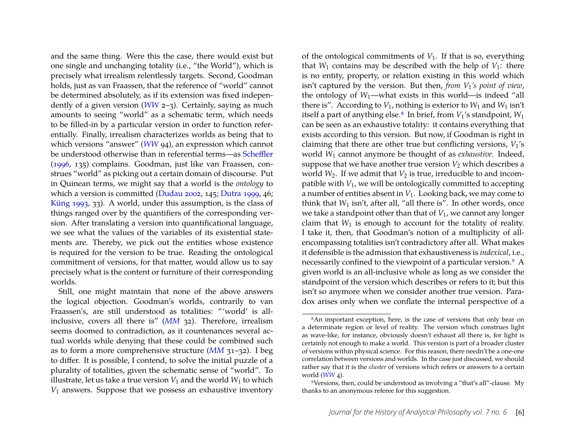and the same thing. Were this the case, there would exist but one single and unchanging totality (i.e., "the World"), which is precisely what irrealism relentlessly targets. Second, Goodman holds, just as van Fraassen, that the reference of "world" cannot be determined absolutely, as if its extension was fixed independently of a given version (*[WW](#page-25-2)* 2–3). Certainly, saying as much amounts to seeing "world" as a schematic term, which needs to be filled-in by a particular version in order to function referentially. Finally, irrealism characterizes worlds as being that to which versions "answer" (*[WW](#page-25-2)* 94), an expression which cannot be understood otherwise than in referential terms—as [Scheffler](#page-25-13) [\(1996,](#page-25-13) 135) complains. Goodman, just like van Fraassen, construes "world" as picking out a certain domain of discourse. Put in Quinean terms, we might say that a world is the *ontology* to which a version is committed [\(Dudau 2002,](#page-24-4) 145; [Dutra 1999,](#page-24-5) 46; [Küng 1993,](#page-25-15) 33). A world, under this assumption, is the class of things ranged over by the quantifiers of the corresponding version. After translating a version into quantificational language, we see what the values of the variables of its existential statements are. Thereby, we pick out the entities whose existence is required for the version to be true. Reading the ontological commitment of versions, for that matter, would allow us to say precisely what is the content or furniture of their corresponding worlds.

Still, one might maintain that none of the above answers the logical objection. Goodman's worlds, contrarily to van Fraassen's, are still understood as totalities: "'world' is allinclusive, covers all there is" (*[MM](#page-25-3)* 32). Therefore, irrealism seems doomed to contradiction, as it countenances several actual worlds while denying that these could be combined such as to form a more comprehensive structure (*[MM](#page-25-3)* 31–32). I beg to differ. It is possible, I contend, to solve the initial puzzle of a plurality of totalities, given the schematic sense of "world". To illustrate, let us take a true version  $V_1$  and the world  $W_1$  to which *V*1 answers. Suppose that we possess an exhaustive inventory

of the ontological commitments of  $V_1$ . If that is so, everything that  $W_1$  contains may be described with the help of  $V_1$ : there is no entity, property, or relation existing in this world which isn't captured by the version. But then, *from V*1*'s point of view*, the ontology of *W*<sub>1</sub>—what exists in this world—is indeed "all there is". According to  $V_1$ , nothing is exterior to  $W_1$  and  $W_1$  isn't itself a part of anything else.<sup>[8](#page-6-0)</sup> In brief, from  $V_1$ 's standpoint,  $W_1$ can be seen as an exhaustive totality: it contains everything that exists according to this version. But now, if Goodman is right in claiming that there are other true but conflicting versions, *V*1's world *W*1 cannot anymore be thought of as *exhaustive*. Indeed, suppose that we have another true version  $V_2$  which describes a world  $W_2$ . If we admit that  $V_2$  is true, irreducible to and incompatible with *V*1, we will be ontologically committed to accepting a number of entities absent in *V*1. Looking back, we may come to think that  $W_1$  isn't, after all, "all there is". In other words, once we take a standpoint other than that of *V*1, we cannot any longer claim that  $W_1$  is enough to account for the totality of reality. I take it, then, that Goodman's notion of a multiplicity of allencompassing totalities isn't contradictory after all. What makes it defensible is the admission that exhaustiveness is *indexical*, i.e., necessarily confined to the viewpoint of a particular version.<sup>[9](#page-6-1)</sup> A given world is an all-inclusive whole as long as we consider the standpoint of the version which describes or refers to it; but this isn't so anymore when we consider another true version. Paradox arises only when we conflate the internal perspective of a

<span id="page-6-0"></span><sup>8</sup>An important exception, here, is the case of versions that only bear on a determinate region or level of reality. The version which construes light as wave-like, for instance, obviously doesn't exhaust all there is, for light is certainly not enough to make a world. This version is part of a broader cluster of versions within physical science. For this reason, there needn't be a one-one correlation between versions and worlds. In the case just discussed, we should rather say that it is the *cluster* of versions which refers or answers to a certain world (*[WW](#page-25-2)* 4).

<span id="page-6-1"></span><sup>9</sup>Versions, then, could be understood as involving a "that's all"-clause. My thanks to an anonymous referee for this suggestion.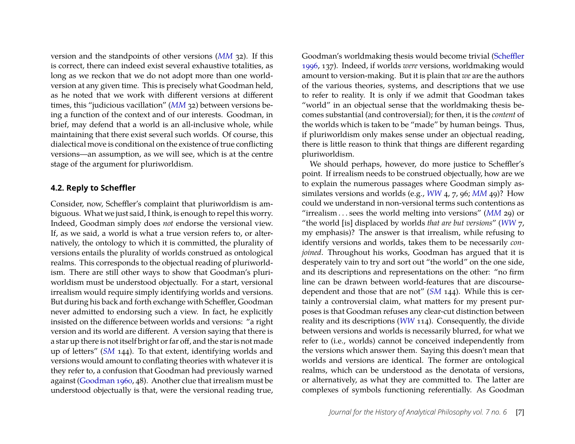version and the standpoints of other versions (*[MM](#page-25-3)* 32). If this is correct, there can indeed exist several exhaustive totalities, as long as we reckon that we do not adopt more than one worldversion at any given time. This is precisely what Goodman held, as he noted that we work with different versions at different times, this "judicious vacillation" (*[MM](#page-25-3)* 32) between versions being a function of the context and of our interests. Goodman, in brief, may defend that a world is an all-inclusive whole, while maintaining that there exist several such worlds. Of course, this dialectical move is conditional on the existence of true conflicting versions—an assumption, as we will see, which is at the centre stage of the argument for pluriworldism.

#### **4.2. Reply to Scheffler**

Consider, now, Scheffler's complaint that pluriworldism is ambiguous. What we just said, I think, is enough to repel this worry. Indeed, Goodman simply does *not* endorse the versional view. If, as we said, a world is what a true version refers to, or alternatively, the ontology to which it is committed, the plurality of versions entails the plurality of worlds construed as ontological realms. This corresponds to the objectual reading of pluriworldism. There are still other ways to show that Goodman's pluriworldism must be understood objectually. For a start, versional irrealism would require simply identifying worlds and versions. But during his back and forth exchange with Scheffler, Goodman never admitted to endorsing such a view. In fact, he explicitly insisted on the difference between worlds and versions: "a right version and its world are different. A version saying that there is a star up there is not itself bright or far off, and the star is not made up of letters" (*[SM](#page-25-5)* 144). To that extent, identifying worlds and versions would amount to conflating theories with whatever it is they refer to, a confusion that Goodman had previously warned against [\(Goodman 1960,](#page-25-16) 48). Another clue that irrealism must be understood objectually is that, were the versional reading true,

Goodman's worldmaking thesis would become trivial [\(Scheffler](#page-25-13) [1996,](#page-25-13) 137). Indeed, if worlds *were* versions, worldmaking would amount to version-making. But it is plain that *we* are the authors of the various theories, systems, and descriptions that we use to refer to reality. It is only if we admit that Goodman takes "world" in an objectual sense that the worldmaking thesis becomes substantial (and controversial); for then, it is the *content* of the worlds which is taken to be "made" by human beings. Thus, if pluriworldism only makes sense under an objectual reading, there is little reason to think that things are different regarding pluriworldism.

We should perhaps, however, do more justice to Scheffler's point. If irrealism needs to be construed objectually, how are we to explain the numerous passages where Goodman simply assimilates versions and worlds (e.g., *[WW](#page-25-2)* 4, 7, 96; *[MM](#page-25-3)* 49)? How could we understand in non-versional terms such contentions as "irrealism . . . sees the world melting into versions" (*[MM](#page-25-3)* 29) or "the world [is] displaced by worlds *that are but versions*" (*[WW](#page-25-2)* 7, my emphasis)? The answer is that irrealism, while refusing to identify versions and worlds, takes them to be necessarily *conjoined*. Throughout his works, Goodman has argued that it is desperately vain to try and sort out "the world" on the one side, and its descriptions and representations on the other: "no firm line can be drawn between world-features that are discoursedependent and those that are not" (*[SM](#page-25-5)* 144). While this is certainly a controversial claim, what matters for my present purposes is that Goodman refuses any clear-cut distinction between reality and its descriptions (*[WW](#page-25-2)* 114). Consequently, the divide between versions and worlds is necessarily blurred, for what we refer to (i.e., worlds) cannot be conceived independently from the versions which answer them. Saying this doesn't mean that worlds and versions are identical. The former are ontological realms, which can be understood as the denotata of versions, or alternatively, as what they are committed to. The latter are complexes of symbols functioning referentially. As Goodman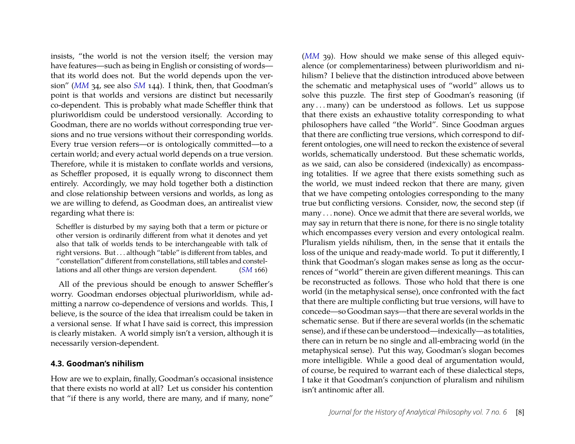insists, "the world is not the version itself; the version may have features—such as being in English or consisting of words that its world does not. But the world depends upon the version" (*[MM](#page-25-3)* 34, see also *[SM](#page-25-5)* 144). I think, then, that Goodman's point is that worlds and versions are distinct but necessarily co-dependent. This is probably what made Scheffler think that pluriworldism could be understood versionally. According to Goodman, there are no worlds without corresponding true versions and no true versions without their corresponding worlds. Every true version refers—or is ontologically committed—to a certain world; and every actual world depends on a true version. Therefore, while it is mistaken to conflate worlds and versions, as Scheffler proposed, it is equally wrong to disconnect them entirely. Accordingly, we may hold together both a distinction and close relationship between versions and worlds, as long as we are willing to defend, as Goodman does, an antirealist view regarding what there is:

Scheffler is disturbed by my saying both that a term or picture or other version is ordinarily different from what it denotes and yet also that talk of worlds tends to be interchangeable with talk of right versions. But . . . although "table" is different from tables, and "constellation" different from constellations, still tables and constellations and all other things are version dependent. (*[SM](#page-25-5)* 166)

All of the previous should be enough to answer Scheffler's worry. Goodman endorses objectual pluriworldism, while admitting a narrow co-dependence of versions and worlds. This, I believe, is the source of the idea that irrealism could be taken in a versional sense. If what I have said is correct, this impression is clearly mistaken. A world simply isn't a version, although it is necessarily version-dependent.

#### **4.3. Goodman's nihilism**

How are we to explain, finally, Goodman's occasional insistence that there exists no world at all? Let us consider his contention that "if there is any world, there are many, and if many, none"

(*[MM](#page-25-3)* 39). How should we make sense of this alleged equivalence (or complementariness) between pluriworldism and nihilism? I believe that the distinction introduced above between the schematic and metaphysical uses of "world" allows us to solve this puzzle. The first step of Goodman's reasoning (if any . . . many) can be understood as follows. Let us suppose that there exists an exhaustive totality corresponding to what philosophers have called "the World". Since Goodman argues that there are conflicting true versions, which correspond to different ontologies, one will need to reckon the existence of several worlds, schematically understood. But these schematic worlds, as we said, can also be considered (indexically) as encompassing totalities. If we agree that there exists something such as the world, we must indeed reckon that there are many, given that we have competing ontologies corresponding to the many true but conflicting versions. Consider, now, the second step (if many . . . none). Once we admit that there are several worlds, we may say in return that there is none, for there is no single totality which encompasses every version and every ontological realm. Pluralism yields nihilism, then, in the sense that it entails the loss of the unique and ready-made world. To put it differently, I think that Goodman's slogan makes sense as long as the occurrences of "world" therein are given different meanings. This can be reconstructed as follows. Those who hold that there is one world (in the metaphysical sense), once confronted with the fact that there are multiple conflicting but true versions, will have to concede—so Goodman says—that there are several worlds in the schematic sense. But if there are several worlds (in the schematic sense), and if these can be understood—indexically—as totalities, there can in return be no single and all-embracing world (in the metaphysical sense). Put this way, Goodman's slogan becomes more intelligible. While a good deal of argumentation would, of course, be required to warrant each of these dialectical steps, I take it that Goodman's conjunction of pluralism and nihilism isn't antinomic after all.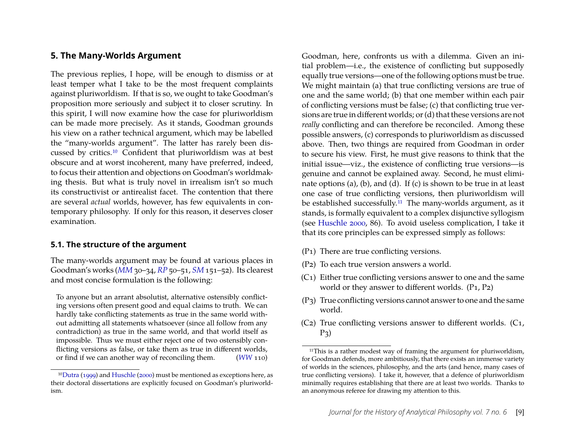#### <span id="page-9-0"></span>**5. The Many-Worlds Argument**

The previous replies, I hope, will be enough to dismiss or at least temper what I take to be the most frequent complaints against pluriworldism. If that is so, we ought to take Goodman's proposition more seriously and subject it to closer scrutiny. In this spirit, I will now examine how the case for pluriworldism can be made more precisely. As it stands, Goodman grounds his view on a rather technical argument, which may be labelled the "many-worlds argument". The latter has rarely been discussed by critics[.10](#page-9-1) Confident that pluriworldism was at best obscure and at worst incoherent, many have preferred, indeed, to focus their attention and objections on Goodman's worldmaking thesis. But what is truly novel in irrealism isn't so much its constructivist or antirealist facet. The contention that there are several *actual* worlds, however, has few equivalents in contemporary philosophy. If only for this reason, it deserves closer examination.

#### <span id="page-9-3"></span>**5.1. The structure of the argument**

The many-worlds argument may be found at various places in Goodman's works (*[MM](#page-25-3)* 30–34, *[RP](#page-25-4)* 50–51, *[SM](#page-25-5)* 151–52). Its clearest and most concise formulation is the following:

To anyone but an arrant absolutist, alternative ostensibly conflicting versions often present good and equal claims to truth. We can hardly take conflicting statements as true in the same world without admitting all statements whatsoever (since all follow from any contradiction) as true in the same world, and that world itself as impossible. Thus we must either reject one of two ostensibly conflicting versions as false, or take them as true in different worlds, or find if we can another way of reconciling them. (*[WW](#page-25-2)* 110) Goodman, here, confronts us with a dilemma. Given an initial problem—i.e., the existence of conflicting but supposedly equally true versions—one of the following options must be true. We might maintain (a) that true conflicting versions are true of one and the same world; (b) that one member within each pair of conflicting versions must be false; (c) that conflicting true versions are true in different worlds; or (d) that these versions are not *really* conflicting and can therefore be reconciled. Among these possible answers, (c) corresponds to pluriworldism as discussed above. Then, two things are required from Goodman in order to secure his view. First, he must give reasons to think that the initial issue—viz., the existence of conflicting true versions—is genuine and cannot be explained away. Second, he must eliminate options (a), (b), and (d). If (c) is shown to be true in at least one case of true conflicting versions, then pluriworldism will be established successfully.<sup>11</sup> The many-worlds argument, as it stands, is formally equivalent to a complex disjunctive syllogism (see [Huschle 2000,](#page-25-17) 86). To avoid useless complication, I take it that its core principles can be expressed simply as follows:

- (P1) There are true conflicting versions.
- (P2) To each true version answers a world.
- (C1) Either true conflicting versions answer to one and the same world or they answer to different worlds. (P<sub>1</sub>, P<sub>2</sub>)
- (P3) True conflicting versions cannot answer to one and the same world.
- (C2) True conflicting versions answer to different worlds. (C1,  $P_3$

<span id="page-9-1"></span><sup>1</sup>[0Dutra](#page-24-5) [\(1999\)](#page-24-5) and [Huschle](#page-25-17) [\(2000\)](#page-25-17) must be mentioned as exceptions here, as their doctoral dissertations are explicitly focused on Goodman's pluriworldism.

<span id="page-9-2"></span><sup>&</sup>lt;sup>11</sup>This is a rather modest way of framing the argument for pluriworldism, for Goodman defends, more ambitiously, that there exists an immense variety of worlds in the sciences, philosophy, and the arts (and hence, many cases of true conflicting versions). I take it, however, that a defence of pluriworldism minimally requires establishing that there are at least two worlds. Thanks to an anonymous referee for drawing my attention to this.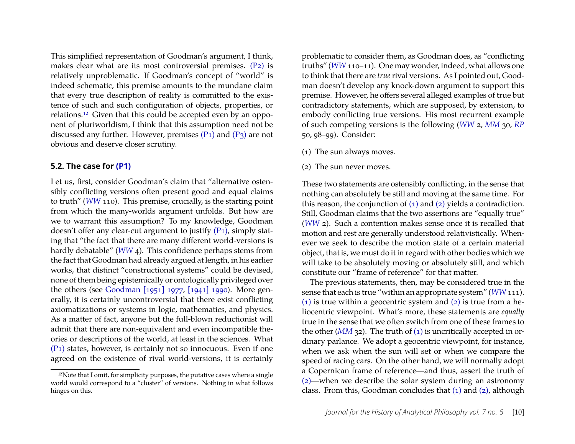This simplified representation of Goodman's argument, I think, makes clear what are its most controversial premises. [\(P2\)](#page-9-3) is relatively unproblematic. If Goodman's concept of "world" is indeed schematic, this premise amounts to the mundane claim that every true description of reality is committed to the existence of such and such configuration of objects, properties, or relations[.12](#page-10-0) Given that this could be accepted even by an opponent of pluriworldism, I think that this assumption need not be discussed any further. However, premises  $(P_1)$  and  $(P_3)$  are not obvious and deserve closer scrutiny.

#### **5.2. The case for [\(P1\)](#page-9-3)**

Let us, first, consider Goodman's claim that "alternative ostensibly conflicting versions often present good and equal claims to truth" (*[WW](#page-25-2)* 110). This premise, crucially, is the starting point from which the many-worlds argument unfolds. But how are we to warrant this assumption? To my knowledge, Goodman doesn't offer any clear-cut argument to justify [\(P1\),](#page-9-3) simply stating that "the fact that there are many different world-versions is hardly debatable" (*[WW](#page-25-2)* 4). This confidence perhaps stems from the fact that Goodman had already argued at length, in his earlier works, that distinct "constructional systems" could be devised, none of them being epistemically or ontologically privileged over the others (see [Goodman \[1951\] 1977,](#page-25-18) [\[1941\] 1990\)](#page-25-19). More generally, it is certainly uncontroversial that there exist conflicting axiomatizations or systems in logic, mathematics, and physics. As a matter of fact, anyone but the full-blown reductionist will admit that there are non-equivalent and even incompatible theories or descriptions of the world, at least in the sciences. What [\(P1\)](#page-9-3) states, however, is certainly not so innocuous. Even if one agreed on the existence of rival world-versions, it is certainly problematic to consider them, as Goodman does, as "conflicting truths" (*[WW](#page-25-2)* 110–11). One may wonder, indeed, what allows one to think that there are *true*rival versions. As I pointed out, Goodman doesn't develop any knock-down argument to support this premise. However, he offers several alleged examples of true but contradictory statements, which are supposed, by extension, to embody conflicting true versions. His most recurrent example of such competing versions is the following (*[WW](#page-25-2)* 2, *[MM](#page-25-3)* 30, *[RP](#page-25-4)* 50, 98–99). Consider:

- <span id="page-10-1"></span>(1) The sun always moves.
- <span id="page-10-2"></span>(2) The sun never moves.

These two statements are ostensibly conflicting, in the sense that nothing can absolutely be still and moving at the same time. For this reason, the conjunction of [\(1\)](#page-10-1) and [\(2\)](#page-10-2) yields a contradiction. Still, Goodman claims that the two assertions are "equally true" (*[WW](#page-25-2)* 2). Such a contention makes sense once it is recalled that motion and rest are generally understood relativistically. Whenever we seek to describe the motion state of a certain material object, that is, we must do it in regard with other bodies which we will take to be absolutely moving or absolutely still, and which constitute our "frame of reference" for that matter.

The previous statements, then, may be considered true in the sense that each is true "within an appropriate system" (*[WW](#page-25-2)* 111). [\(1\)](#page-10-1) is true within a geocentric system and  $(2)$  is true from a heliocentric viewpoint. What's more, these statements are *equally* true in the sense that we often switch from one of these frames to the other (*[MM](#page-25-3)* 32). The truth of [\(1\)](#page-10-1) is uncritically accepted in ordinary parlance. We adopt a geocentric viewpoint, for instance, when we ask when the sun will set or when we compare the speed of racing cars. On the other hand, we will normally adopt a Copernican frame of reference—and thus, assert the truth of [\(2\)—](#page-10-2)when we describe the solar system during an astronomy class. From this, Goodman concludes that [\(1\)](#page-10-1) and [\(2\),](#page-10-2) although

<span id="page-10-0"></span><sup>&</sup>lt;sup>12</sup>Note that I omit, for simplicity purposes, the putative cases where a single world would correspond to a "cluster" of versions. Nothing in what follows hinges on this.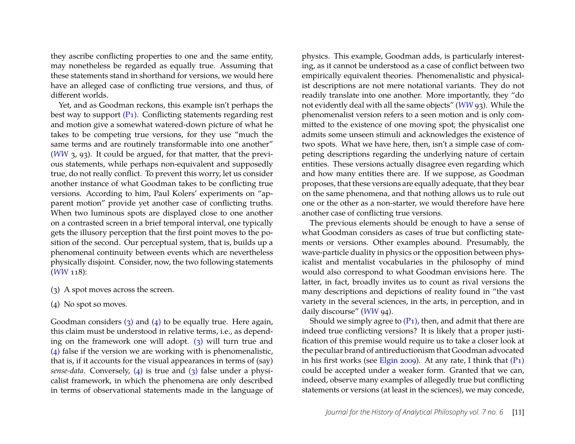they ascribe conflicting properties to one and the same entity, may nonetheless be regarded as equally true. Assuming that these statements stand in shorthand for versions, we would here have an alleged case of conflicting true versions, and thus, of different worlds.

Yet, and as Goodman reckons, this example isn't perhaps the best way to support  $(P_1)$ . Conflicting statements regarding rest and motion give a somewhat watered-down picture of what he takes to be competing true versions, for they use "much the same terms and are routinely transformable into one another" (*[WW](#page-25-2)* 3, 93). It could be argued, for that matter, that the previous statements, while perhaps non-equivalent and supposedly true, do not really conflict. To prevent this worry, let us consider another instance of what Goodman takes to be conflicting true versions. According to him, Paul Kolers' experiments on "apparent motion" provide yet another case of conflicting truths. When two luminous spots are displayed close to one another on a contrasted screen in a brief temporal interval, one typically gets the illusory perception that the first point moves to the position of the second. Our perceptual system, that is, builds up a phenomenal continuity between events which are nevertheless physically disjoint. Consider, now, the two following statements (*[WW](#page-25-2)* 118):

- <span id="page-11-0"></span>(3) A spot moves across the screen.
- <span id="page-11-1"></span>(4) No spot so moves.

Goodman considers  $(3)$  and  $(4)$  to be equally true. Here again, this claim must be understood in relative terms, i.e., as depending on the framework one will adopt. [\(3\)](#page-11-0) will turn true and [\(4\)](#page-11-1) false if the version we are working with is phenomenalistic, that is, if it accounts for the visual appearances in terms of (say) *sense-data*. Conversely, [\(4\)](#page-11-1) is true and [\(3\)](#page-11-0) false under a physicalist framework, in which the phenomena are only described in terms of observational statements made in the language of

physics. This example, Goodman adds, is particularly interesting, as it cannot be understood as a case of conflict between two empirically equivalent theories. Phenomenalistic and physicalist descriptions are not mere notational variants. They do not readily translate into one another. More importantly, they "do not evidently deal with all the same objects" (*[WW](#page-25-2)* 93). While the phenomenalist version refers to a seen motion and is only committed to the existence of one moving spot; the physicalist one admits some unseen stimuli and acknowledges the existence of two spots. What we have here, then, isn't a simple case of competing descriptions regarding the underlying nature of certain entities. These versions actually disagree even regarding which and how many entities there are. If we suppose, as Goodman proposes, that these versions are equally adequate, that they bear on the same phenomena, and that nothing allows us to rule out one or the other as a non-starter, we would therefore have here another case of conflicting true versions.

The previous elements should be enough to have a sense of what Goodman considers as cases of true but conflicting statements or versions. Other examples abound. Presumably, the wave-particle duality in physics or the opposition between physicalist and mentalist vocabularies in the philosophy of mind would also correspond to what Goodman envisions here. The latter, in fact, broadly invites us to count as rival versions the many descriptions and depictions of reality found in "the vast variety in the several sciences, in the arts, in perception, and in daily discourse" ([WW](#page-25-2) 94).

Should we simply agree to  $(P_1)$ , then, and admit that there are indeed true conflicting versions? It is likely that a proper justification of this premise would require us to take a closer look at the peculiar brand of antireductionism that Goodman advocated in his first works (see [Elgin 2009\)](#page-24-6). At any rate, I think that [\(P1\)](#page-9-3) could be accepted under a weaker form. Granted that we can, indeed, observe many examples of allegedly true but conflicting statements or versions (at least in the sciences), we may concede,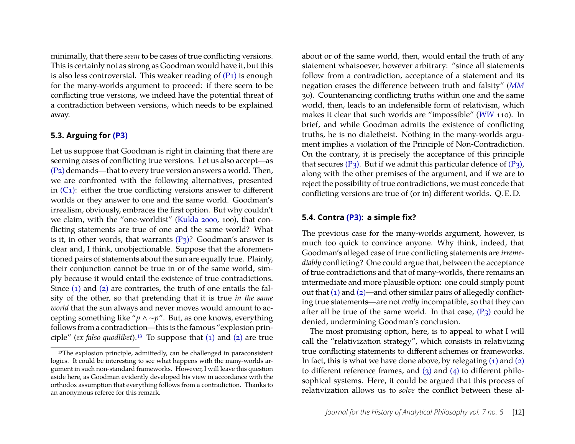minimally, that there *seem* to be cases of true conflicting versions. This is certainly not as strong as Goodman would have it, but this is also less controversial. This weaker reading of  $(P_1)$  is enough for the many-worlds argument to proceed: if there seem to be conflicting true versions, we indeed have the potential threat of a contradiction between versions, which needs to be explained away.

#### **5.3. Arguing for [\(P3\)](#page-9-3)**

Let us suppose that Goodman is right in claiming that there are seeming cases of conflicting true versions. Let us also accept—as [\(P2\)](#page-9-3) demands—that to every true version answers a world. Then, we are confronted with the following alternatives, presented in  $(C_1)$ : either the true conflicting versions answer to different worlds or they answer to one and the same world. Goodman's irrealism, obviously, embraces the first option. But why couldn't we claim, with the "one-worldist" [\(Kukla 2000,](#page-25-6) 100), that conflicting statements are true of one and the same world? What is it, in other words, that warrants  $(P_3)$ ? Goodman's answer is clear and, I think, unobjectionable. Suppose that the aforementioned pairs of statements about the sun are equally true. Plainly, their conjunction cannot be true in or of the same world, simply because it would entail the existence of true contradictions. Since [\(1\)](#page-10-1) and [\(2\)](#page-10-2) are contraries, the truth of one entails the falsity of the other, so that pretending that it is true *in the same world* that the sun always and never moves would amount to accepting something like "*p* ∧ ∼*p*". But, as one knows, everything follows from a contradiction—this is the famous "explosion principle" (*ex falso quodlibet*).[13](#page-12-0) To suppose that [\(1\)](#page-10-1) and [\(2\)](#page-10-2) are true about or of the same world, then, would entail the truth of any statement whatsoever, however arbitrary: "since all statements follow from a contradiction, acceptance of a statement and its negation erases the difference between truth and falsity" (*[MM](#page-25-3)* 30). Countenancing conflicting truths within one and the same world, then, leads to an indefensible form of relativism, which makes it clear that such worlds are "impossible" (*[WW](#page-25-2)* 110). In brief, and while Goodman admits the existence of conflicting truths, he is no dialetheist. Nothing in the many-worlds argument implies a violation of the Principle of Non-Contradiction. On the contrary, it is precisely the acceptance of this principle that secures  $(P_3)$ . But if we admit this particular defence of  $(P_3)$ , along with the other premises of the argument, and if we are to reject the possibility of true contradictions, we must concede that conflicting versions are true of (or in) different worlds. Q. E. D.

#### **5.4. Contra [\(P3\):](#page-9-3) a simple fix?**

The previous case for the many-worlds argument, however, is much too quick to convince anyone. Why think, indeed, that Goodman's alleged case of true conflicting statements are *irremediably* conflicting? One could argue that, between the acceptance of true contradictions and that of many-worlds, there remains an intermediate and more plausible option: one could simply point out that  $(1)$  and  $(2)$ —and other similar pairs of allegedly conflicting true statements—are not *really* incompatible, so that they can after all be true of the same world. In that case,  $(P_3)$  could be denied, undermining Goodman's conclusion.

The most promising option, here, is to appeal to what I will call the "relativization strategy", which consists in relativizing true conflicting statements to different schemes or frameworks. In fact, this is what we have done above, by relegating  $(1)$  and  $(2)$ to different reference frames, and  $(3)$  and  $(4)$  to different philosophical systems. Here, it could be argued that this process of relativization allows us to *solve* the conflict between these al-

<span id="page-12-0"></span><sup>&</sup>lt;sup>13</sup>The explosion principle, admittedly, can be challenged in paraconsistent logics. It could be interesting to see what happens with the many-worlds argument in such non-standard frameworks. However, I will leave this question aside here, as Goodman evidently developed his view in accordance with the orthodox assumption that everything follows from a contradiction. Thanks to an anonymous referee for this remark.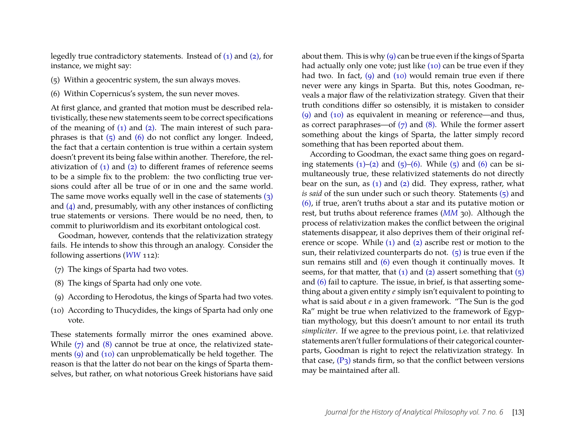legedly true contradictory statements. Instead of [\(1\)](#page-10-1) and [\(2\),](#page-10-2) for instance, we might say:

- <span id="page-13-0"></span>(5) Within a geocentric system, the sun always moves.
- <span id="page-13-1"></span>(6) Within Copernicus's system, the sun never moves.

At first glance, and granted that motion must be described relativistically, these new statements seem to be correct specifications of the meaning of  $(1)$  and  $(2)$ . The main interest of such paraphrases is that  $(5)$  and  $(6)$  do not conflict any longer. Indeed, the fact that a certain contention is true within a certain system doesn't prevent its being false within another. Therefore, the relativization of  $(1)$  and  $(2)$  to different frames of reference seems to be a simple fix to the problem: the two conflicting true versions could after all be true of or in one and the same world. The same move works equally well in the case of statements [\(3\)](#page-11-0) and [\(4\)](#page-11-1) and, presumably, with any other instances of conflicting true statements or versions. There would be no need, then, to commit to pluriworldism and its exorbitant ontological cost.

Goodman, however, contends that the relativization strategy fails. He intends to show this through an analogy. Consider the following assertions (*[WW](#page-25-2)* 112):

- <span id="page-13-2"></span>(7) The kings of Sparta had two votes.
- <span id="page-13-3"></span>(8) The kings of Sparta had only one vote.
- <span id="page-13-4"></span>(9) According to Herodotus, the kings of Sparta had two votes.
- <span id="page-13-5"></span>(10) According to Thucydides, the kings of Sparta had only one vote.

These statements formally mirror the ones examined above. While  $(7)$  and  $(8)$  cannot be true at once, the relativized statements [\(9\)](#page-13-4) and [\(10\)](#page-13-5) can unproblematically be held together. The reason is that the latter do not bear on the kings of Sparta themselves, but rather, on what notorious Greek historians have said

about them. This is why [\(9\)](#page-13-4) can be true even if the kings of Sparta had actually only one vote; just like [\(10\)](#page-13-5) can be true even if they had two. In fact,  $(q)$  and  $(10)$  would remain true even if there never were any kings in Sparta. But this, notes Goodman, reveals a major flaw of the relativization strategy. Given that their truth conditions differ so ostensibly, it is mistaken to consider [\(9\)](#page-13-4) and [\(10\)](#page-13-5) as equivalent in meaning or reference—and thus, as correct paraphrases—of  $(7)$  and  $(8)$ . While the former assert something about the kings of Sparta, the latter simply record something that has been reported about them.

According to Goodman, the exact same thing goes on regarding statements  $(1)$ – $(2)$  and  $(5)$ – $(6)$ . While  $(5)$  and  $(6)$  can be simultaneously true, these relativized statements do not directly bear on the sun, as  $(1)$  and  $(2)$  did. They express, rather, what *is said* of the sun under such or such theory. Statements [\(5\)](#page-13-0) and [\(6\),](#page-13-1) if true, aren't truths about a star and its putative motion or rest, but truths about reference frames (*[MM](#page-25-3)* 30). Although the process of relativization makes the conflict between the original statements disappear, it also deprives them of their original reference or scope. While [\(1\)](#page-10-1) and [\(2\)](#page-10-2) ascribe rest or motion to the sun, their relativized counterparts do not.  $(5)$  is true even if the sun remains still and [\(6\)](#page-13-1) even though it continually moves. It seems, for that matter, that  $(1)$  and  $(2)$  assert something that  $(5)$ and [\(6\)](#page-13-1) fail to capture. The issue, in brief, is that asserting something about a given entity *e* simply isn't equivalent to pointing to what is said about *e* in a given framework. "The Sun is the god Ra" might be true when relativized to the framework of Egyptian mythology, but this doesn't amount to nor entail its truth *simpliciter*. If we agree to the previous point, i.e. that relativized statements aren't fuller formulations of their categorical counterparts, Goodman is right to reject the relativization strategy. In that case,  $(P_3)$  stands firm, so that the conflict between versions may be maintained after all.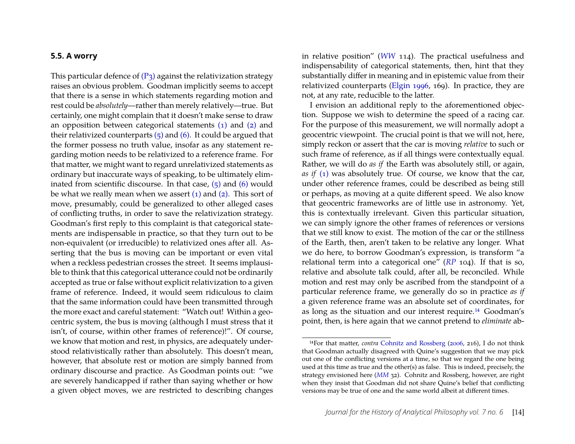#### **5.5. A worry**

This particular defence of  $(P_3)$  against the relativization strategy raises an obvious problem. Goodman implicitly seems to accept that there is a sense in which statements regarding motion and rest could be *absolutely*—rather than merely relatively—true. But certainly, one might complain that it doesn't make sense to draw an opposition between categorical statements [\(1\)](#page-10-1) and [\(2\)](#page-10-2) and their relativized counterparts  $(5)$  and  $(6)$ . It could be argued that the former possess no truth value, insofar as any statement regarding motion needs to be relativized to a reference frame. For that matter, we might want to regard unrelativized statements as ordinary but inaccurate ways of speaking, to be ultimately eliminated from scientific discourse. In that case,  $(5)$  and  $(6)$  would be what we really mean when we assert  $(1)$  and  $(2)$ . This sort of move, presumably, could be generalized to other alleged cases of conflicting truths, in order to save the relativization strategy. Goodman's first reply to this complaint is that categorical statements are indispensable in practice, so that they turn out to be non-equivalent (or irreducible) to relativized ones after all. Asserting that the bus is moving can be important or even vital when a reckless pedestrian crosses the street. It seems implausible to think that this categorical utterance could not be ordinarily accepted as true or false without explicit relativization to a given frame of reference. Indeed, it would seem ridiculous to claim that the same information could have been transmitted through the more exact and careful statement: "Watch out! Within a geocentric system, the bus is moving (although I must stress that it isn't, of course, within other frames of reference)!". Of course, we know that motion and rest, in physics, are adequately understood relativistically rather than absolutely. This doesn't mean, however, that absolute rest or motion are simply banned from ordinary discourse and practice. As Goodman points out: "we are severely handicapped if rather than saying whether or how a given object moves, we are restricted to describing changes

in relative position" (*[WW](#page-25-2)* 114). The practical usefulness and indispensability of categorical statements, then, hint that they substantially differ in meaning and in epistemic value from their relativized counterparts [\(Elgin 1996,](#page-24-7) 169). In practice, they are not, at any rate, reducible to the latter.

I envision an additional reply to the aforementioned objection. Suppose we wish to determine the speed of a racing car. For the purpose of this measurement, we will normally adopt a geocentric viewpoint. The crucial point is that we will not, here, simply reckon or assert that the car is moving *relative* to such or such frame of reference, as if all things were contextually equal*.* Rather, we will do *as if* the Earth was absolutely still, or again, *as if* [\(1\)](#page-10-1) was absolutely true. Of course, we know that the car, under other reference frames, could be described as being still or perhaps, as moving at a quite different speed. We also know that geocentric frameworks are of little use in astronomy. Yet, this is contextually irrelevant. Given this particular situation, we can simply ignore the other frames of references or versions that we still know to exist. The motion of the car or the stillness of the Earth, then, aren't taken to be relative any longer. What we do here, to borrow Goodman's expression, is transform "a relational term into a categorical one" (*[RP](#page-25-4)* 104). If that is so, relative and absolute talk could, after all, be reconciled. While motion and rest may only be ascribed from the standpoint of a particular reference frame, we generally do so in practice *as if* a given reference frame was an absolute set of coordinates, for as long as the situation and our interest require.[14](#page-14-0) Goodman's point, then, is here again that we cannot pretend to *eliminate* ab-

<span id="page-14-0"></span><sup>14</sup>For that matter, *contra* [Cohnitz and Rossberg](#page-24-2) [\(2006,](#page-24-2) 216), I do not think that Goodman actually disagreed with Quine's suggestion that we may pick out one of the conflicting versions at a time, so that we regard the one being used at this time as true and the other(s) as false. This is indeed, precisely, the strategy envisioned here (*[MM](#page-25-3)* 32). Cohnitz and Rossberg, however, are right when they insist that Goodman did not share Quine's belief that conflicting versions may be true of one and the same world albeit at different times.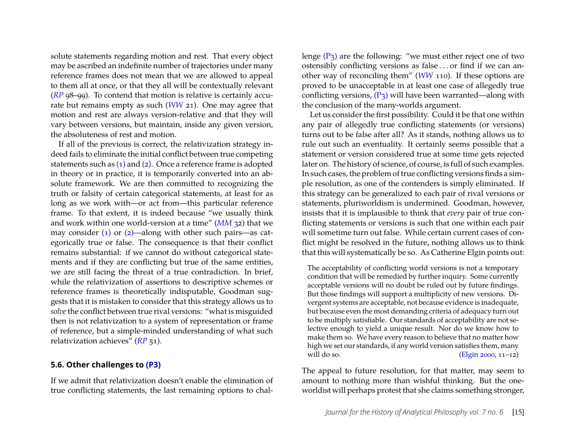solute statements regarding motion and rest. That every object may be ascribed an indefinite number of trajectories under many reference frames does not mean that we are allowed to appeal to them all at once, or that they all will be contextually relevant (*[RP](#page-25-4)* 98–99). To contend that motion is relative is certainly accurate but remains empty as such (*[WW](#page-25-2)* 21). One may agree that motion and rest are always version-relative and that they will vary between versions, but maintain, inside any given version, the absoluteness of rest and motion.

If all of the previous is correct, the relativization strategy indeed fails to eliminate the initial conflict between true competing statements such as [\(1\)](#page-10-1) and [\(2\).](#page-10-2) Once a reference frame is adopted in theory or in practice, it is temporarily converted into an absolute framework. We are then committed to recognizing the truth or falsity of certain categorical statements, at least for as long as we work with—or act from—this particular reference frame. To that extent, it is indeed because "we usually think and work within one world-version at a time" (*[MM](#page-25-3)* 32) that we may consider [\(1\)](#page-10-1) or [\(2\)—](#page-10-2)along with other such pairs—as categorically true or false. The consequence is that their conflict remains substantial: if we cannot do without categorical statements and if they are conflicting but true of the same entities, we are still facing the threat of a true contradiction. In brief, while the relativization of assertions to descriptive schemes or reference frames is theoretically indisputable, Goodman suggests that it is mistaken to consider that this strategy allows us to *solve*the conflict between true rival versions: "what is misguided then is not relativization to a system of representation or frame of reference, but a simple-minded understanding of what such relativization achieves" (*[RP](#page-25-4)* 51).

#### **5.6. Other challenges to [\(P3\)](#page-9-3)**

If we admit that relativization doesn't enable the elimination of true conflicting statements, the last remaining options to challenge  $(P_3)$  are the following: "we must either reject one of two ostensibly conflicting versions as false . . . or find if we can another way of reconciling them" (*[WW](#page-25-2)* 110). If these options are proved to be unacceptable in at least one case of allegedly true conflicting versions,  $(P_3)$  will have been warranted—along with the conclusion of the many-worlds argument.

Let us consider the first possibility. Could it be that one within any pair of allegedly true conflicting statements (or versions) turns out to be false after all? As it stands, nothing allows us to rule out such an eventuality. It certainly seems possible that a statement or version considered true at some time gets rejected later on. The history of science, of course, is full of such examples. In such cases, the problem of true conflicting versions finds a simple resolution, as one of the contenders is simply eliminated. If this strategy can be generalized to each pair of rival versions or statements, pluriworldism is undermined. Goodman, however, insists that it is implausible to think that *every* pair of true conflicting statements or versions is such that one within each pair will sometime turn out false. While certain current cases of conflict might be resolved in the future, nothing allows us to think that this will systematically be so. As Catherine Elgin points out:

The acceptability of conflicting world versions is not a temporary condition that will be remedied by further inquiry. Some currently acceptable versions will no doubt be ruled out by future findings. But those findings will support a multiplicity of new versions. Divergent systems are acceptable, not because evidence is inadequate, but because even the most demanding criteria of adequacy turn out to be multiply satisfiable. Our standards of acceptability are not selective enough to yield a unique result. Nor do we know how to make them so. We have every reason to believe that no matter how high we set our standards, if any world version satisfies them, many will do so. [\(Elgin 2000,](#page-24-8) 11–12)

The appeal to future resolution, for that matter, may seem to amount to nothing more than wishful thinking. But the oneworldist will perhaps protest that she claims something stronger,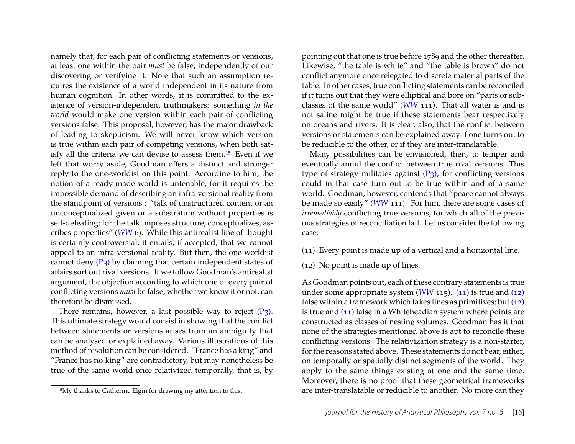namely that, for each pair of conflicting statements or versions, at least one within the pair *must* be false, independently of our discovering or verifying it. Note that such an assumption requires the existence of a world independent in its nature from human cognition. In other words, it is committed to the existence of version-independent truthmakers: something *in the world* would make one version within each pair of conflicting versions false. This proposal, however, has the major drawback of leading to skepticism. We will never know which version is true within each pair of competing versions, when both satisfy all the criteria we can devise to assess them.[15](#page-16-0) Even if we left that worry aside, Goodman offers a distinct and stronger reply to the one-worldist on this point. According to him, the notion of a ready-made world is untenable, for it requires the impossible demand of describing an infra-versional reality from the standpoint of versions : "talk of unstructured content or an unconceptualized given or a substratum without properties is self-defeating; for the talk imposes structure, conceptualizes, ascribes properties" (*[WW](#page-25-2)* 6). While this antirealist line of thought is certainly controversial, it entails, if accepted, that we cannot appeal to an infra-versional reality. But then, the one-worldist cannot deny  $(P_3)$  by claiming that certain independent states of affairs sort out rival versions. If we follow Goodman's antirealist argument, the objection according to which one of every pair of conflicting versions *must* be false, whether we know it or not, can therefore be dismissed.

There remains, however, a last possible way to reject  $(P_3)$ . This ultimate strategy would consist in showing that the conflict between statements or versions arises from an ambiguity that can be analysed or explained away. Various illustrations of this method of resolution can be considered. "France has a king" and "France has no king" are contradictory, but may nonetheless be true of the same world once relativized temporally, that is, by

pointing out that one is true before 1789 and the other thereafter. Likewise, "the table is white" and "the table is brown" do not conflict anymore once relegated to discrete material parts of the table. In other cases, true conflicting statements can be reconciled if it turns out that they were elliptical and bore on "parts or subclasses of the same world" (*[WW](#page-25-2)* 111). That all water is and is not saline might be true if these statements bear respectively on oceans and rivers. It is clear, also, that the conflict between versions or statements can be explained away if one turns out to be reducible to the other, or if they are inter-translatable.

Many possibilities can be envisioned, then, to temper and eventually annul the conflict between true rival versions. This type of strategy militates against  $(P_3)$ , for conflicting versions could in that case turn out to be true within and of a same world. Goodman, however, contends that "peace cannot always be made so easily" (*[WW](#page-25-2)* 111). For him, there are some cases of *irremediably* conflicting true versions, for which all of the previous strategies of reconciliation fail. Let us consider the following case:

- <span id="page-16-1"></span>(11) Every point is made up of a vertical and a horizontal line.
- <span id="page-16-2"></span>(12) No point is made up of lines.

As Goodman points out, each of these contrary statements is true under some appropriate system (*[WW](#page-25-2)* 115). [\(11\)](#page-16-1) is true and [\(12\)](#page-16-2) false within a framework which takes lines as primitives; but [\(12\)](#page-16-2) is true and [\(11\)](#page-16-1) false in a Whiteheadian system where points are constructed as classes of nesting volumes. Goodman has it that none of the strategies mentioned above is apt to reconcile these conflicting versions. The relativization strategy is a non-starter, for the reasons stated above. These statements do not bear, either, on temporally or spatially distinct segments of the world. They apply to the same things existing at one and the same time. Moreover, there is no proof that these geometrical frameworks are inter-translatable or reducible to another. No more can they

<span id="page-16-0"></span><sup>15</sup>My thanks to Catherine Elgin for drawing my attention to this.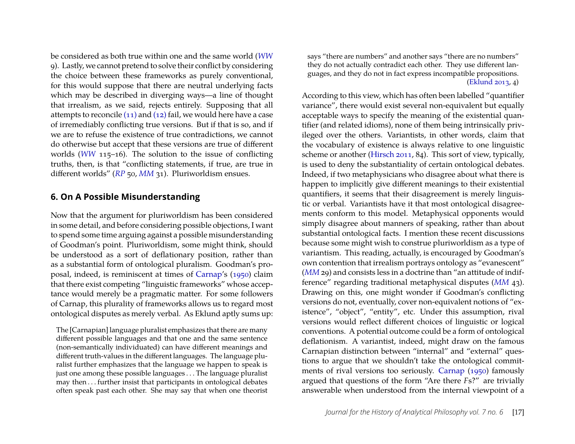be considered as both true within one and the same world (*[WW](#page-25-2)* 9). Lastly, we cannot pretend to solve their conflict by considering the choice between these frameworks as purely conventional, for this would suppose that there are neutral underlying facts which may be described in diverging ways—a line of thought that irrealism, as we said, rejects entirely. Supposing that all attempts to reconcile [\(11\)](#page-16-1) and [\(12\)](#page-16-2) fail, we would here have a case of irremediably conflicting true versions. But if that is so, and if we are to refuse the existence of true contradictions, we cannot do otherwise but accept that these versions are true of different worlds (*[WW](#page-25-2)* 115–16). The solution to the issue of conflicting truths, then, is that "conflicting statements, if true, are true in different worlds" (*[RP](#page-25-4)* 50, *[MM](#page-25-3)* 31). Pluriworldism ensues.

#### <span id="page-17-0"></span>**6. On A Possible Misunderstanding**

Now that the argument for pluriworldism has been considered in some detail, and before considering possible objections, I want to spend some time arguing against a possible misunderstanding of Goodman's point. Pluriworldism, some might think, should be understood as a sort of deflationary position, rather than as a substantial form of ontological pluralism. Goodman's proposal, indeed, is reminiscent at times of [Carnap'](#page-24-1)s [\(1950\)](#page-24-1) claim that there exist competing "linguistic frameworks" whose acceptance would merely be a pragmatic matter. For some followers of Carnap, this plurality of frameworks allows us to regard most ontological disputes as merely verbal. As Eklund aptly sums up:

The [Carnapian] language pluralist emphasizes that there are many different possible languages and that one and the same sentence (non-semantically individuated) can have different meanings and different truth-values in the different languages. The language pluralist further emphasizes that the language we happen to speak is just one among these possible languages . . . The language pluralist may then . . . further insist that participants in ontological debates often speak past each other. She may say that when one theorist

says "there are numbers" and another says "there are no numbers" they do not actually contradict each other. They use different languages, and they do not in fact express incompatible propositions. [\(Eklund 2013,](#page-24-9) 4)

According to this view, which has often been labelled "quantifier variance", there would exist several non-equivalent but equally acceptable ways to specify the meaning of the existential quantifier (and related idioms), none of them being intrinsically privileged over the others. Variantists, in other words, claim that the vocabulary of existence is always relative to one linguistic scheme or another [\(Hirsch 2011,](#page-25-20) 84). This sort of view, typically, is used to deny the substantiality of certain ontological debates. Indeed, if two metaphysicians who disagree about what there is happen to implicitly give different meanings to their existential quantifiers, it seems that their disagreement is merely linguistic or verbal. Variantists have it that most ontological disagreements conform to this model. Metaphysical opponents would simply disagree about manners of speaking, rather than about substantial ontological facts. I mention these recent discussions because some might wish to construe pluriworldism as a type of variantism. This reading, actually, is encouraged by Goodman's own contention that irrealism portrays ontology as "evanescent" (*[MM](#page-25-3)* 29) and consists less in a doctrine than "an attitude of indifference" regarding traditional metaphysical disputes (*[MM](#page-25-3)* 43). Drawing on this, one might wonder if Goodman's conflicting versions do not, eventually, cover non-equivalent notions of "existence", "object", "entity", etc. Under this assumption, rival versions would reflect different choices of linguistic or logical conventions. A potential outcome could be a form of ontological deflationism. A variantist, indeed, might draw on the famous Carnapian distinction between "internal" and "external" questions to argue that we shouldn't take the ontological commitments of rival versions too seriously. [Carnap](#page-24-1) [\(1950\)](#page-24-1) famously argued that questions of the form "Are there *F*s?" are trivially answerable when understood from the internal viewpoint of a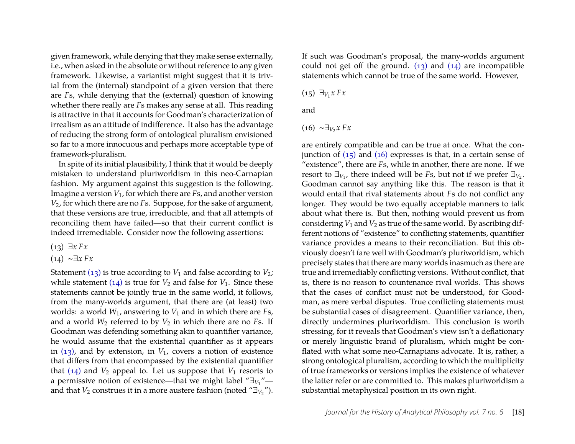given framework, while denying that they make sense externally, i.e., when asked in the absolute or without reference to any given framework. Likewise, a variantist might suggest that it is trivial from the (internal) standpoint of a given version that there are *F*s, while denying that the (external) question of knowing whether there really are *F*s makes any sense at all. This reading is attractive in that it accounts for Goodman's characterization of irrealism as an attitude of indifference. It also has the advantage of reducing the strong form of ontological pluralism envisioned so far to a more innocuous and perhaps more acceptable type of framework-pluralism.

In spite of its initial plausibility, I think that it would be deeply mistaken to understand pluriworldism in this neo-Carnapian fashion. My argument against this suggestion is the following. Imagine a version *V*1, for which there are *F*s, and another version *V*2, for which there are no *F*s. Suppose, for the sake of argument, that these versions are true, irreducible, and that all attempts of reconciling them have failed—so that their current conflict is indeed irremediable. Consider now the following assertions:

<span id="page-18-0"></span>(13) ∃*x Fx*

<span id="page-18-1"></span>(14) ∼∃*x Fx*

Statement [\(13\)](#page-18-0) is true according to  $V_1$  and false according to  $V_2$ ; while statement  $(14)$  is true for  $V_2$  and false for  $V_1$ . Since these statements cannot be jointly true in the same world, it follows, from the many-worlds argument, that there are (at least) two worlds: a world *W*1, answering to *V*1 and in which there are *F*s, and a world  $W_2$  referred to by  $V_2$  in which there are no *Fs*. If Goodman was defending something akin to quantifier variance, he would assume that the existential quantifier as it appears in  $(13)$ , and by extension, in  $V_1$ , covers a notion of existence that differs from that encompassed by the existential quantifier that  $(14)$  and  $V_2$  appeal to. Let us suppose that  $V_1$  resorts to a permissive notion of existence—that we might label " $\exists v_1$ " and that  $V_2$  construes it in a more austere fashion (noted " $\exists v_2$ ").

If such was Goodman's proposal, the many-worlds argument could not get off the ground.  $(13)$  and  $(14)$  are incompatible statements which cannot be true of the same world. However,

<span id="page-18-2"></span>(15) ∃*<sup>V</sup>*<sup>1</sup> *x Fx*

and

<span id="page-18-3"></span>
$$
(16) \sim \exists v_2 x \, Fx
$$

are entirely compatible and can be true at once. What the conjunction of  $(15)$  and  $(16)$  expresses is that, in a certain sense of "existence", there are *F*s, while in another, there are none. If we resort to  $\exists v_1$ , there indeed will be *Fs*, but not if we prefer  $\exists v_2$ . Goodman cannot say anything like this. The reason is that it would entail that rival statements about *F*s do not conflict any longer. They would be two equally acceptable manners to talk about what there is. But then, nothing would prevent us from considering  $V_1$  and  $V_2$  as true of the same world. By ascribing different notions of "existence" to conflicting statements, quantifier variance provides a means to their reconciliation. But this obviously doesn't fare well with Goodman's pluriworldism, which precisely states that there are many worlds inasmuch as there are true and irremediably conflicting versions. Without conflict, that is, there is no reason to countenance rival worlds. This shows that the cases of conflict must not be understood, for Goodman, as mere verbal disputes. True conflicting statements must be substantial cases of disagreement. Quantifier variance, then, directly undermines pluriworldism. This conclusion is worth stressing, for it reveals that Goodman's view isn't a deflationary or merely linguistic brand of pluralism, which might be conflated with what some neo-Carnapians advocate. It is, rather, a strong ontological pluralism, according to which the multiplicity of true frameworks or versions implies the existence of whatever the latter refer or are committed to. This makes pluriworldism a substantial metaphysical position in its own right.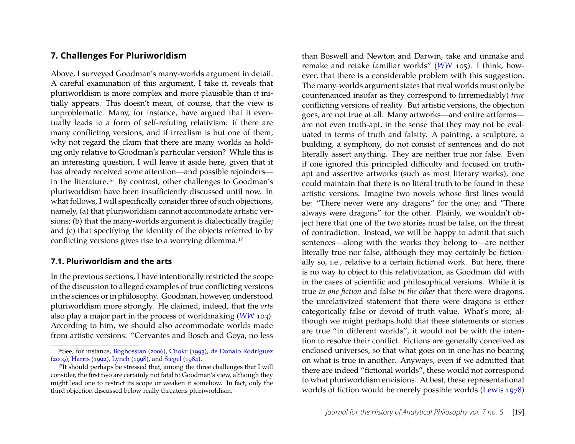## <span id="page-19-0"></span>**7. Challenges For Pluriworldism**

Above, I surveyed Goodman's many-worlds argument in detail. A careful examination of this argument, I take it, reveals that pluriworldism is more complex and more plausible than it initially appears. This doesn't mean, of course, that the view is unproblematic. Many, for instance, have argued that it eventually leads to a form of self-refuting relativism: if there are many conflicting versions, and if irrealism is but one of them, why not regard the claim that there are many worlds as holding only relative to Goodman's particular version? While this is an interesting question, I will leave it aside here, given that it has already received some attention—and possible rejoinders in the literature.[16](#page-19-1) By contrast, other challenges to Goodman's pluriworldism have been insufficiently discussed until now. In what follows, I will specifically consider three of such objections, namely, (a) that pluriworldism cannot accommodate artistic versions; (b) that the many-worlds argument is dialectically fragile; and (c) that specifying the identity of the objects referred to by conflicting versions gives rise to a worrying dilemma.<sup>[17](#page-19-2)</sup>

#### **7.1. Pluriworldism and the arts**

In the previous sections, I have intentionally restricted the scope of the discussion to alleged examples of true conflicting versions in the sciences or in philosophy. Goodman, however, understood pluriworldism more strongly. He claimed, indeed, that the *arts* also play a major part in the process of worldmaking (*[WW](#page-25-2)* 103). According to him, we should also accommodate worlds made from artistic versions: "Cervantes and Bosch and Goya, no less

than Boswell and Newton and Darwin, take and unmake and remake and retake familiar worlds" (*[WW](#page-25-2)* 105). I think, however, that there is a considerable problem with this suggestion. The many-worlds argument states that rival worlds must only be countenanced insofar as they correspond to (irremediably) *true* conflicting versions of reality. But artistic versions, the objection goes, are not true at all. Many artworks—and entire artforms are not even truth-apt, in the sense that they may not be evaluated in terms of truth and falsity. A painting, a sculpture, a building, a symphony, do not consist of sentences and do not literally assert anything. They are neither true nor false. Even if one ignored this principled difficulty and focused on truthapt and assertive artworks (such as most literary works), one could maintain that there is no literal truth to be found in these artistic versions. Imagine two novels whose first lines would be: "There never were any dragons" for the one; and "There always were dragons" for the other. Plainly, we wouldn't object here that one of the two stories must be false, on the threat of contradiction. Instead, we will be happy to admit that such sentences—along with the works they belong to—are neither literally true nor false, although they may certainly be fictionally so, i.e., relative to a certain fictional work. But here, there is no way to object to this relativization, as Goodman did with in the cases of scientific and philosophical versions. While it is true *in one fiction* and false *in the other* that there were dragons, the unrelativized statement that there were dragons is either categorically false or devoid of truth value. What's more, although we might perhaps hold that these statements or stories are true "in different worlds", it would not be with the intention to resolve their conflict. Fictions are generally conceived as enclosed universes, so that what goes on in one has no bearing on what is true in another. Anyways, even if we admitted that there are indeed "fictional worlds", these would not correspond to what pluriworldism envisions. At best, these representational worlds of fiction would be merely possible worlds [\(Lewis 1978\)](#page-25-24)

<span id="page-19-1"></span><sup>16</sup>See, for instance, [Boghossian](#page-24-0) [\(2006\)](#page-24-0), [Chokr](#page-24-10) [\(1993\)](#page-24-10), [de Donato Rodríguez](#page-24-11) [\(2009\)](#page-24-11), [Harris](#page-25-21) [\(1992\)](#page-25-21), [Lynch](#page-25-22) [\(1998\)](#page-25-22), and [Siegel](#page-25-23) [\(1984\)](#page-25-23).

<span id="page-19-2"></span><sup>&</sup>lt;sup>17</sup>It should perhaps be stressed that, among the three challenges that I will consider, the first two are certainly not fatal to Goodman's view, although they might lead one to restrict its scope or weaken it somehow. In fact, only the third objection discussed below really threatens pluriworldism.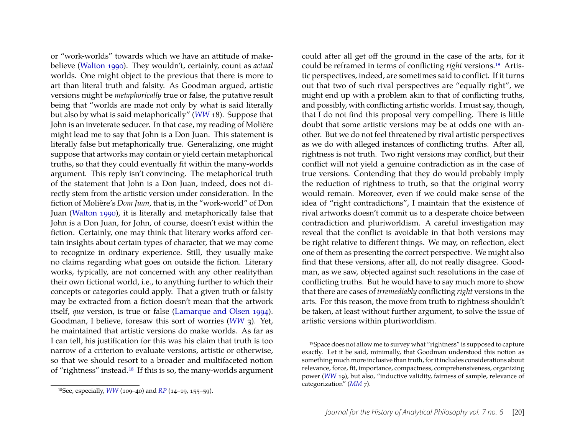or "work-worlds" towards which we have an attitude of makebelieve [\(Walton 1990\)](#page-25-25). They wouldn't, certainly, count as *actual* worlds. One might object to the previous that there is more to art than literal truth and falsity. As Goodman argued, artistic versions might be *metaphorically* true or false, the putative result being that "worlds are made not only by what is said literally but also by what is said metaphorically" (*[WW](#page-25-2)* 18). Suppose that John is an inveterate seducer. In that case, my reading of Molière might lead me to say that John is a Don Juan. This statement is literally false but metaphorically true. Generalizing, one might suppose that artworks may contain or yield certain metaphorical truths, so that they could eventually fit within the many-worlds argument. This reply isn't convincing. The metaphorical truth of the statement that John is a Don Juan, indeed, does not directly stem from the artistic version under consideration. In the fiction of Molière's *Dom Juan*, that is, in the "work-world" of Don Juan [\(Walton 1990\)](#page-25-25), it is literally and metaphorically false that John is a Don Juan, for John, of course, doesn't exist within the fiction. Certainly, one may think that literary works afford certain insights about certain types of character, that we may come to recognize in ordinary experience. Still, they usually make no claims regarding what goes on outside the fiction. Literary works, typically, are not concerned with any other realitythan their own fictional world, i.e., to anything further to which their concepts or categories could apply. That a given truth or falsity may be extracted from a fiction doesn't mean that the artwork itself, *qua* version, is true or false [\(Lamarque and Olsen 1994\)](#page-25-26). Goodman, I believe, foresaw this sort of worries (*[WW](#page-25-2)* 3). Yet, he maintained that artistic versions do make worlds. As far as I can tell, his justification for this was his claim that truth is too narrow of a criterion to evaluate versions, artistic or otherwise, so that we should resort to a broader and multifaceted notion of "rightness" instead.[18](#page-20-0) If this is so, the many-worlds argument

could after all get off the ground in the case of the arts, for it could be reframed in terms of conflicting *right* versions.[19](#page-20-1) Artistic perspectives, indeed, are sometimes said to conflict. If it turns out that two of such rival perspectives are "equally right", we might end up with a problem akin to that of conflicting truths, and possibly, with conflicting artistic worlds. I must say, though, that I do not find this proposal very compelling. There is little doubt that some artistic versions may be at odds one with another. But we do not feel threatened by rival artistic perspectives as we do with alleged instances of conflicting truths. After all, rightness is not truth. Two right versions may conflict, but their conflict will not yield a genuine contradiction as in the case of true versions. Contending that they do would probably imply the reduction of rightness to truth, so that the original worry would remain. Moreover, even if we could make sense of the idea of "right contradictions", I maintain that the existence of rival artworks doesn't commit us to a desperate choice between contradiction and pluriworldism. A careful investigation may reveal that the conflict is avoidable in that both versions may be right relative to different things. We may, on reflection, elect one of them as presenting the correct perspective. We might also find that these versions, after all, do not really disagree. Goodman, as we saw, objected against such resolutions in the case of conflicting truths. But he would have to say much more to show that there are cases of *irremediably* conflicting *right* versions in the arts. For this reason, the move from truth to rightness shouldn't be taken, at least without further argument, to solve the issue of artistic versions within pluriworldism.

<span id="page-20-0"></span><sup>18</sup>See, especially, *[WW](#page-25-2)* (109–40) and *[RP](#page-25-4)* (14–19, 155–59).

<span id="page-20-1"></span><sup>19</sup>Space does not allow me to survey what "rightness" is supposed to capture exactly. Let it be said, minimally, that Goodman understood this notion as something much more inclusive than truth, for it includes considerations about relevance, force, fit, importance, compactness, comprehensiveness, organizing power (*[WW](#page-25-2)* 19), but also, "inductive validity, fairness of sample, relevance of categorization" (*[MM](#page-25-3)* 7).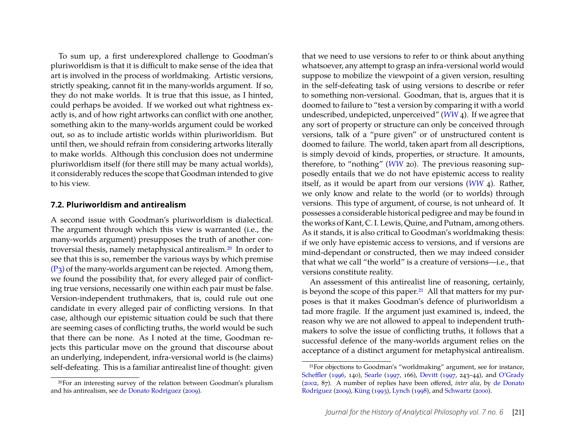To sum up, a first underexplored challenge to Goodman's pluriworldism is that it is difficult to make sense of the idea that art is involved in the process of worldmaking. Artistic versions, strictly speaking, cannot fit in the many-worlds argument. If so, they do not make worlds. It is true that this issue, as I hinted, could perhaps be avoided. If we worked out what rightness exactly is, and of how right artworks can conflict with one another, something akin to the many-worlds argument could be worked out, so as to include artistic worlds within pluriworldism. But until then, we should refrain from considering artworks literally to make worlds. Although this conclusion does not undermine pluriworldism itself (for there still may be many actual worlds), it considerably reduces the scope that Goodman intended to give to his view.

#### **7.2. Pluriworldism and antirealism**

A second issue with Goodman's pluriworldism is dialectical. The argument through which this view is warranted (i.e., the many-worlds argument) presupposes the truth of another controversial thesis, namely metaphysical antirealism[.20](#page-21-0) In order to see that this is so, remember the various ways by which premise [\(P3\)](#page-9-3) of the many-worlds argument can be rejected. Among them, we found the possibility that, for every alleged pair of conflicting true versions, necessarily one within each pair must be false. Version-independent truthmakers, that is, could rule out one candidate in every alleged pair of conflicting versions. In that case, although our epistemic situation could be such that there are seeming cases of conflicting truths, the world would be such that there can be none. As I noted at the time, Goodman rejects this particular move on the ground that discourse about an underlying, independent, infra-versional world is (he claims) self-defeating. This is a familiar antirealist line of thought: given

that we need to use versions to refer to or think about anything whatsoever, any attempt to grasp an infra-versional world would suppose to mobilize the viewpoint of a given version, resulting in the self-defeating task of using versions to describe or refer to something non-versional. Goodman, that is, argues that it is doomed to failure to "test a version by comparing it with a world undescribed, undepicted, unperceived" (*[WW](#page-25-2)* 4). If we agree that any sort of property or structure can only be conceived through versions, talk of a "pure given" or of unstructured content is doomed to failure. The world, taken apart from all descriptions, is simply devoid of kinds, properties, or structure. It amounts, therefore, to "nothing" (*[WW](#page-25-2)* 20). The previous reasoning supposedly entails that we do not have epistemic access to reality itself, as it would be apart from our versions (*[WW](#page-25-2)* 4). Rather, we only know and relate to the world (or to worlds) through versions. This type of argument, of course, is not unheard of. It possesses a considerable historical pedigree and may be found in the works of Kant, C. I. Lewis, Quine, and Putnam, among others. As it stands, it is also critical to Goodman's worldmaking thesis: if we only have epistemic access to versions, and if versions are mind-dependant or constructed, then we may indeed consider that what we call "the world" is a creature of versions—i.e., that versions constitute reality.

An assessment of this antirealist line of reasoning, certainly, is beyond the scope of this paper.<sup>21</sup> All that matters for my purposes is that it makes Goodman's defence of pluriworldism a tad more fragile. If the argument just examined is, indeed, the reason why we are not allowed to appeal to independent truthmakers to solve the issue of conflicting truths, it follows that a successful defence of the many-worlds argument relies on the acceptance of a distinct argument for metaphysical antirealism.

<span id="page-21-0"></span><sup>20</sup>For an interesting survey of the relation between Goodman's pluralism and his antirealism, see [de Donato Rodríguez](#page-24-11) [\(2009\)](#page-24-11).

<span id="page-21-1"></span><sup>21</sup>For objections to Goodman's "worldmaking" argument, see for instance, [Scheffler](#page-25-13) [\(1996,](#page-25-13) 140), [Searle](#page-25-27) [\(1997,](#page-25-27) 166), [Devitt](#page-24-12) [\(1997,](#page-24-12) 243–44), and [O'Grady](#page-25-8) [\(2002,](#page-25-8) 87). A number of replies have been offered, *inter alia*, by [de Donato](#page-24-11) [Rodríguez](#page-24-11) [\(2009\)](#page-24-11), [Küng](#page-25-15) [\(1993\)](#page-25-15), [Lynch](#page-25-22) [\(1998\)](#page-25-22), and [Schwartz](#page-25-28) [\(2000\)](#page-25-28).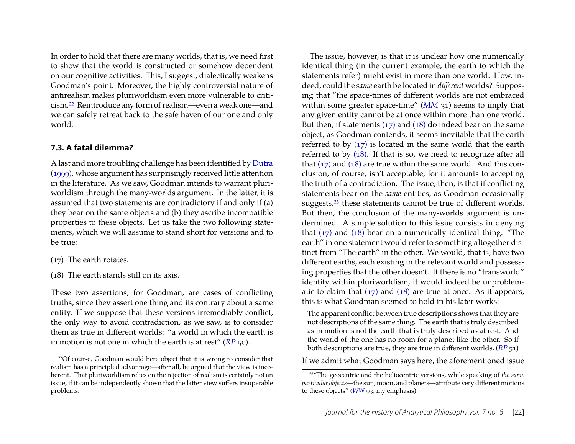In order to hold that there are many worlds, that is, we need first to show that the world is constructed or somehow dependent on our cognitive activities. This, I suggest, dialectically weakens Goodman's point. Moreover, the highly controversial nature of antirealism makes pluriworldism even more vulnerable to criticism[.22](#page-22-0) Reintroduce any form of realism—even a weak one—and we can safely retreat back to the safe haven of our one and only world.

#### **7.3. A fatal dilemma?**

A last and more troubling challenge has been identified by [Dutra](#page-24-5) [\(1999\)](#page-24-5), whose argument has surprisingly received little attention in the literature. As we saw, Goodman intends to warrant pluriworldism through the many-worlds argument. In the latter, it is assumed that two statements are contradictory if and only if (a) they bear on the same objects and (b) they ascribe incompatible properties to these objects. Let us take the two following statements, which we will assume to stand short for versions and to be true:

- <span id="page-22-1"></span>(17) The earth rotates.
- <span id="page-22-2"></span>(18) The earth stands still on its axis.

These two assertions, for Goodman, are cases of conflicting truths, since they assert one thing and its contrary about a same entity. If we suppose that these versions irremediably conflict, the only way to avoid contradiction, as we saw, is to consider them as true in different worlds: "a world in which the earth is in motion is not one in which the earth is at rest" (*[RP](#page-25-4)* 50).

The issue, however, is that it is unclear how one numerically identical thing (in the current example, the earth to which the statements refer) might exist in more than one world. How, indeed, could the *same* earth be located in *different* worlds? Supposing that "the space-times of different worlds are not embraced within some greater space-time" (*[MM](#page-25-3)* 31) seems to imply that any given entity cannot be at once within more than one world. But then, if statements  $(17)$  and  $(18)$  do indeed bear on the same object, as Goodman contends, it seems inevitable that the earth referred to by  $(17)$  is located in the same world that the earth referred to by [\(18\).](#page-22-2) If that is so, we need to recognize after all that  $(17)$  and  $(18)$  are true within the same world. And this conclusion, of course, isn't acceptable, for it amounts to accepting the truth of a contradiction. The issue, then, is that if conflicting statements bear on the *same* entities, as Goodman occasionally suggests,<sup>[23](#page-22-3)</sup> these statements cannot be true of different worlds. But then, the conclusion of the many-worlds argument is undermined. A simple solution to this issue consists in denying that  $(17)$  and  $(18)$  bear on a numerically identical thing. "The earth" in one statement would refer to something altogether distinct from "The earth" in the other. We would, that is, have two different earths, each existing in the relevant world and possessing properties that the other doesn't. If there is no "transworld" identity within pluriworldism, it would indeed be unproblematic to claim that  $(17)$  and  $(18)$  are true at once. As it appears, this is what Goodman seemed to hold in his later works:

The apparent conflict between true descriptions shows that they are not descriptions of the same thing. The earth that is truly described as in motion is not the earth that is truly described as at rest. And the world of the one has no room for a planet like the other. So if both descriptions are true, they are true in different worlds. (*[RP](#page-25-4)* 51)

If we admit what Goodman says here, the aforementioned issue

<span id="page-22-0"></span><sup>22</sup>Of course, Goodman would here object that it is wrong to consider that realism has a principled advantage—after all, he argued that the view is incoherent. That pluriworldism relies on the rejection of realism is certainly not an issue, if it can be independently shown that the latter view suffers insuperable problems.

<span id="page-22-3"></span><sup>23</sup>"The geocentric and the heliocentric versions, while speaking of *the same particular objects*—the sun, moon, and planets—attribute very different motions to these objects" (*[WW](#page-25-2)* 93, my emphasis).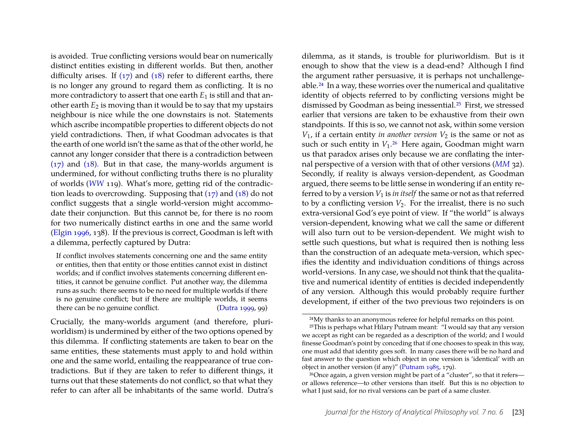is avoided. True conflicting versions would bear on numerically distinct entities existing in different worlds. But then, another difficulty arises. If  $(17)$  and  $(18)$  refer to different earths, there is no longer any ground to regard them as conflicting. It is no more contradictory to assert that one earth  $E_1$  is still and that another earth  $E_2$  is moving than it would be to say that my upstairs neighbour is nice while the one downstairs is not. Statements which ascribe incompatible properties to different objects do not yield contradictions. Then, if what Goodman advocates is that the earth of one world isn't the same as that of the other world, he cannot any longer consider that there is a contradiction between [\(17\)](#page-22-1) and [\(18\).](#page-22-2) But in that case, the many-worlds argument is undermined, for without conflicting truths there is no plurality of worlds (*[WW](#page-25-2)* 119). What's more, getting rid of the contradiction leads to overcrowding. Supposing that  $(17)$  and  $(18)$  do not conflict suggests that a single world-version might accommodate their conjunction. But this cannot be, for there is no room for two numerically distinct earths in one and the same world [\(Elgin 1996,](#page-24-7) 138). If the previous is correct, Goodman is left with a dilemma, perfectly captured by Dutra:

If conflict involves statements concerning one and the same entity or entities, then that entity or those entities cannot exist in distinct worlds; and if conflict involves statements concerning different entities, it cannot be genuine conflict. Put another way, the dilemma runs as such: there seems to be no need for multiple worlds if there is no genuine conflict; but if there are multiple worlds, it seems there can be no genuine conflict. [\(Dutra 1999,](#page-24-5) 99)

Crucially, the many-worlds argument (and therefore, pluriworldism) is undermined by either of the two options opened by this dilemma. If conflicting statements are taken to bear on the same entities, these statements must apply to and hold within one and the same world, entailing the reappearance of true contradictions. But if they are taken to refer to different things, it turns out that these statements do not conflict, so that what they refer to can after all be inhabitants of the same world. Dutra's

dilemma, as it stands, is trouble for pluriworldism. But is it enough to show that the view is a dead-end? Although I find the argument rather persuasive, it is perhaps not unchallengeable.[24](#page-23-0) In a way, these worries over the numerical and qualitative identity of objects referred to by conflicting versions might be dismissed by Goodman as being inessential.[25](#page-23-1) First, we stressed earlier that versions are taken to be exhaustive from their own standpoints. If this is so, we cannot not ask, within some version  $V_1$ , if a certain entity *in another version*  $V_2$  is the same or not as such or such entity in  $V_1$ .<sup>[26](#page-23-2)</sup> Here again, Goodman might warn us that paradox arises only because we are conflating the internal perspective of a version with that of other versions (*[MM](#page-25-3)* 32). Secondly, if reality is always version-dependent, as Goodman argued, there seems to be little sense in wondering if an entity referred to by a version  $V_1$  is *in itself* the same or not as that referred to by a conflicting version  $V_2$ . For the irrealist, there is no such extra-versional God's eye point of view. If "the world" is always version-dependent, knowing what we call the same or different will also turn out to be version-dependent. We might wish to settle such questions, but what is required then is nothing less than the construction of an adequate meta-version, which specifies the identity and individuation conditions of things across world-versions. In any case, we should not think that the qualitative and numerical identity of entities is decided independently of any version. Although this would probably require further development, if either of the two previous two rejoinders is on

<span id="page-23-1"></span><span id="page-23-0"></span><sup>24</sup>My thanks to an anonymous referee for helpful remarks on this point.

<sup>25</sup>This is perhaps what Hilary Putnam meant: "I would say that any version we accept as right can be regarded as a description of the world; and I would finesse Goodman's point by conceding that if one chooses to speak in this way, one must add that identity goes soft. In many cases there will be no hard and fast answer to the question which object in one version is 'identical' with an object in another version (if any)" [\(Putnam 1985,](#page-25-29) 179).

<span id="page-23-2"></span><sup>26</sup>Once again, a given version might be part of a "cluster", so that it refers or allows reference—to other versions than itself. But this is no objection to what I just said, for no rival versions can be part of a same cluster.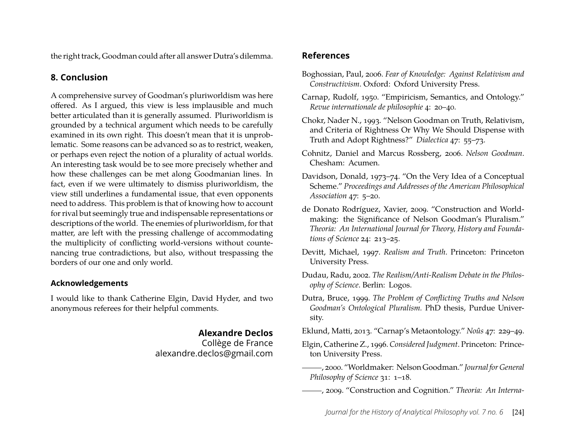the right track, Goodman could after all answer Dutra's dilemma.

# **8. Conclusion**

A comprehensive survey of Goodman's pluriworldism was here offered. As I argued, this view is less implausible and much better articulated than it is generally assumed. Pluriworldism is grounded by a technical argument which needs to be carefully examined in its own right. This doesn't mean that it is unproblematic. Some reasons can be advanced so as to restrict, weaken, or perhaps even reject the notion of a plurality of actual worlds. An interesting task would be to see more precisely whether and how these challenges can be met along Goodmanian lines. In fact, even if we were ultimately to dismiss pluriworldism, the view still underlines a fundamental issue, that even opponents need to address. This problem is that of knowing how to account for rival but seemingly true and indispensable representations or descriptions of the world. The enemies of pluriworldism, for that matter, are left with the pressing challenge of accommodating the multiplicity of conflicting world-versions without countenancing true contradictions, but also, without trespassing the borders of our one and only world.

## **Acknowledgements**

I would like to thank Catherine Elgin, David Hyder, and two anonymous referees for their helpful comments.

# **Alexandre Declos**

Collège de France alexandre.declos@gmail.com

# **References**

- <span id="page-24-0"></span>Boghossian, Paul, 2006. *Fear of Knowledge: Against Relativism and Constructivism*. Oxford: Oxford University Press.
- <span id="page-24-1"></span>Carnap, Rudolf, 1950. "Empiricism, Semantics, and Ontology." *Revue internationale de philosophie* 4: 20–40.
- <span id="page-24-10"></span>Chokr, Nader N., 1993. "Nelson Goodman on Truth, Relativism, and Criteria of Rightness Or Why We Should Dispense with Truth and Adopt Rightness?" *Dialectica* 47: 55–73.
- <span id="page-24-2"></span>Cohnitz, Daniel and Marcus Rossberg, 2006. *Nelson Goodman*. Chesham: Acumen.
- <span id="page-24-3"></span>Davidson, Donald, 1973–74. "On the Very Idea of a Conceptual Scheme." *Proceedings and Addresses of the American Philosophical Association* 47: 5–20.
- <span id="page-24-11"></span>de Donato Rodríguez, Xavier, 2009. "Construction and Worldmaking: the Significance of Nelson Goodman's Pluralism." *Theoria: An International Journal for Theory, History and Foundations of Science* 24: 213–25.
- <span id="page-24-12"></span>Devitt, Michael, 1997. *Realism and Truth*. Princeton: Princeton University Press.
- <span id="page-24-4"></span>Dudau, Radu, 2002. *The Realism/Anti-Realism Debate in the Philosophy of Science*. Berlin: Logos.
- <span id="page-24-5"></span>Dutra, Bruce, 1999. *The Problem of Conflicting Truths and Nelson Goodman's Ontological Pluralism.* PhD thesis, Purdue University.

<span id="page-24-9"></span>Eklund, Matti, 2013. "Carnap's Metaontology." *Noûs* 47: 229–49.

- <span id="page-24-7"></span>Elgin, Catherine Z., 1996. *Considered Judgment*. Princeton: Princeton University Press.
- <span id="page-24-8"></span>, 2000. "Worldmaker: Nelson Goodman." *Journal for General Philosophy of Science* 31: 1–18.
- <span id="page-24-6"></span>, 2009. "Construction and Cognition." *Theoria: An Interna-*